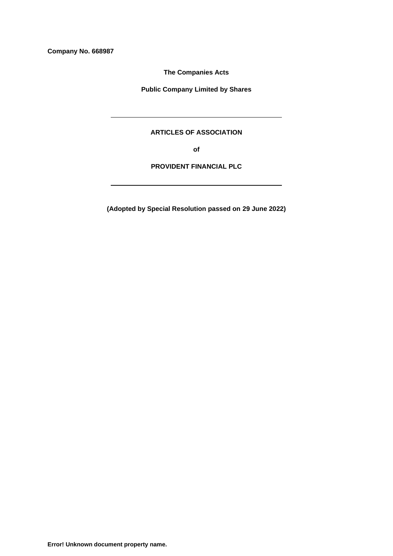**Company No. 668987**

**The Companies Acts**

**Public Company Limited by Shares**

# **ARTICLES OF ASSOCIATION**

**of**

**PROVIDENT FINANCIAL PLC**

**(Adopted by Special Resolution passed on 29 June 2022)**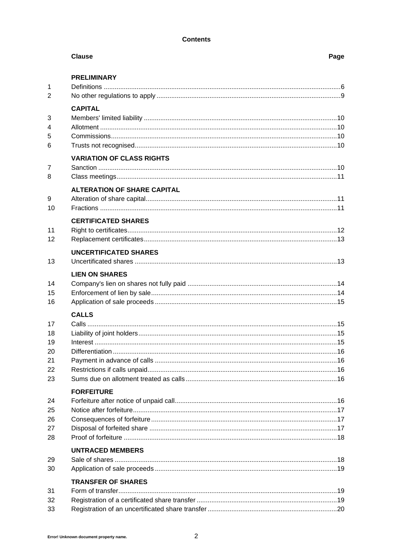# **Contents**

|                | <b>Clause</b>                      | Page |
|----------------|------------------------------------|------|
|                | <b>PRELIMINARY</b>                 |      |
| 1              |                                    |      |
| $\overline{2}$ |                                    |      |
|                | <b>CAPITAL</b>                     |      |
| 3              |                                    |      |
| 4              |                                    |      |
| 5              |                                    |      |
| 6              |                                    |      |
|                | <b>VARIATION OF CLASS RIGHTS</b>   |      |
| 7              |                                    |      |
| 8              |                                    |      |
|                | <b>ALTERATION OF SHARE CAPITAL</b> |      |
| 9              |                                    |      |
| 10             |                                    |      |
|                | <b>CERTIFICATED SHARES</b>         |      |
| 11             |                                    |      |
| 12             |                                    |      |
|                | <b>UNCERTIFICATED SHARES</b>       |      |
| 13             |                                    |      |
|                | <b>LIEN ON SHARES</b>              |      |
| 14             |                                    |      |
| 15             |                                    |      |
| 16             |                                    |      |
|                | <b>CALLS</b>                       |      |
| 17             |                                    |      |
| 18             |                                    |      |
| 19             |                                    |      |
| 20             |                                    |      |
| 21<br>22       |                                    |      |
| 23             |                                    |      |
|                |                                    |      |
|                | <b>FORFEITURE</b>                  |      |
| 24             |                                    |      |
| 25<br>26       |                                    |      |
| 27             |                                    |      |
| 28             |                                    |      |
|                |                                    |      |
| 29             | <b>UNTRACED MEMBERS</b>            |      |
| 30             |                                    |      |
|                |                                    |      |
| 31             | <b>TRANSFER OF SHARES</b>          |      |
| 32             |                                    |      |
| 33             |                                    |      |
|                |                                    |      |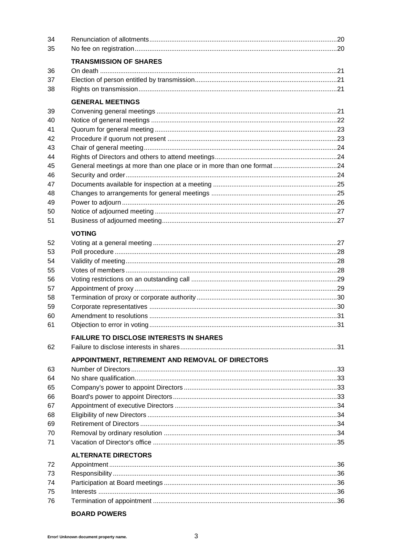| 34       |                                                                       |  |
|----------|-----------------------------------------------------------------------|--|
| 35       |                                                                       |  |
|          | <b>TRANSMISSION OF SHARES</b>                                         |  |
| 36       |                                                                       |  |
| 37       |                                                                       |  |
| 38       |                                                                       |  |
|          | <b>GENERAL MEETINGS</b>                                               |  |
| 39       |                                                                       |  |
| 40       |                                                                       |  |
| 41       |                                                                       |  |
| 42       |                                                                       |  |
| 43       |                                                                       |  |
| 44       |                                                                       |  |
| 45       | General meetings at more than one place or in more than one format 24 |  |
| 46       |                                                                       |  |
| 47       |                                                                       |  |
| 48       |                                                                       |  |
| 49       |                                                                       |  |
| 50       |                                                                       |  |
| 51       |                                                                       |  |
|          | <b>VOTING</b>                                                         |  |
| 52       |                                                                       |  |
| 53       |                                                                       |  |
| 54       |                                                                       |  |
| 55       |                                                                       |  |
| 56       |                                                                       |  |
| 57       |                                                                       |  |
| 58<br>59 |                                                                       |  |
| 60       |                                                                       |  |
| 61       |                                                                       |  |
|          |                                                                       |  |
|          | <b>FAILURE TO DISCLOSE INTERESTS IN SHARES</b>                        |  |
| 62       |                                                                       |  |
|          | APPOINTMENT, RETIREMENT AND REMOVAL OF DIRECTORS                      |  |
| 63       |                                                                       |  |
| 64       |                                                                       |  |
| 65<br>66 |                                                                       |  |
| 67       |                                                                       |  |
| 68       |                                                                       |  |
| 69       |                                                                       |  |
| 70       |                                                                       |  |
| 71       |                                                                       |  |
|          | <b>ALTERNATE DIRECTORS</b>                                            |  |
| 72       |                                                                       |  |
| 73       |                                                                       |  |
| 74       |                                                                       |  |
| 75       |                                                                       |  |
| 76       |                                                                       |  |

# **BOARD POWERS**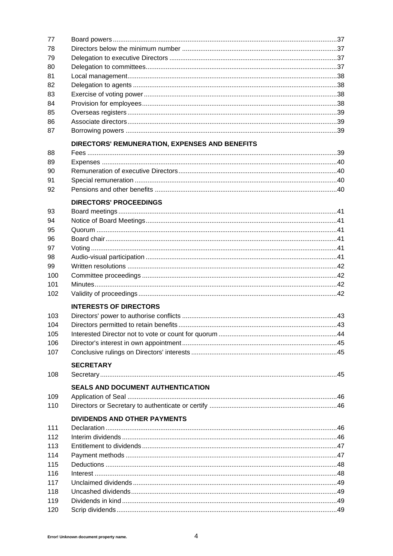| 77  |                                                |  |
|-----|------------------------------------------------|--|
| 78  |                                                |  |
| 79  |                                                |  |
| 80  |                                                |  |
| 81  |                                                |  |
| 82  |                                                |  |
| 83  |                                                |  |
| 84  |                                                |  |
| 85  |                                                |  |
| 86  |                                                |  |
| 87  |                                                |  |
|     | DIRECTORS' REMUNERATION, EXPENSES AND BENEFITS |  |
| 88  |                                                |  |
| 89  |                                                |  |
| 90  |                                                |  |
| 91  |                                                |  |
| 92  |                                                |  |
|     |                                                |  |
|     | <b>DIRECTORS' PROCEEDINGS</b>                  |  |
| 93  |                                                |  |
| 94  |                                                |  |
| 95  |                                                |  |
| 96  |                                                |  |
| 97  |                                                |  |
| 98  |                                                |  |
| 99  |                                                |  |
| 100 |                                                |  |
| 101 |                                                |  |
| 102 |                                                |  |
|     | <b>INTERESTS OF DIRECTORS</b>                  |  |
| 103 |                                                |  |
| 104 |                                                |  |
| 105 |                                                |  |
| 106 |                                                |  |
| 107 |                                                |  |
|     | <b>SECRETARY</b>                               |  |
| 108 |                                                |  |
|     | <b>SEALS AND DOCUMENT AUTHENTICATION</b>       |  |
| 109 |                                                |  |
| 110 |                                                |  |
|     | <b>DIVIDENDS AND OTHER PAYMENTS</b>            |  |
| 111 |                                                |  |
| 112 |                                                |  |
| 113 |                                                |  |
| 114 |                                                |  |
| 115 |                                                |  |
| 116 |                                                |  |
| 117 |                                                |  |
| 118 |                                                |  |
| 119 |                                                |  |
| 120 |                                                |  |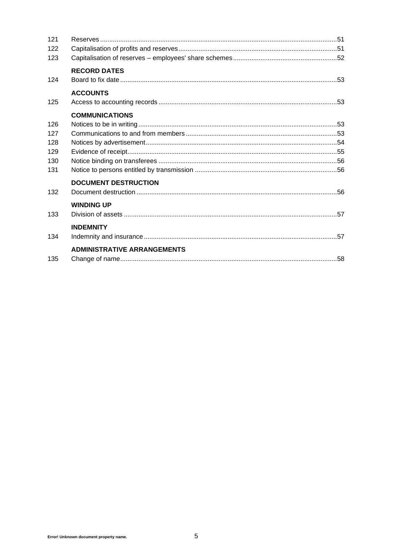| 121 |                                    |  |
|-----|------------------------------------|--|
| 122 |                                    |  |
| 123 |                                    |  |
|     | <b>RECORD DATES</b>                |  |
| 124 |                                    |  |
|     | <b>ACCOUNTS</b>                    |  |
| 125 |                                    |  |
|     | <b>COMMUNICATIONS</b>              |  |
| 126 |                                    |  |
| 127 |                                    |  |
| 128 |                                    |  |
| 129 |                                    |  |
| 130 |                                    |  |
| 131 |                                    |  |
|     | <b>DOCUMENT DESTRUCTION</b>        |  |
| 132 |                                    |  |
|     | <b>WINDING UP</b>                  |  |
| 133 |                                    |  |
|     | <b>INDEMNITY</b>                   |  |
| 134 |                                    |  |
|     | <b>ADMINISTRATIVE ARRANGEMENTS</b> |  |
| 135 |                                    |  |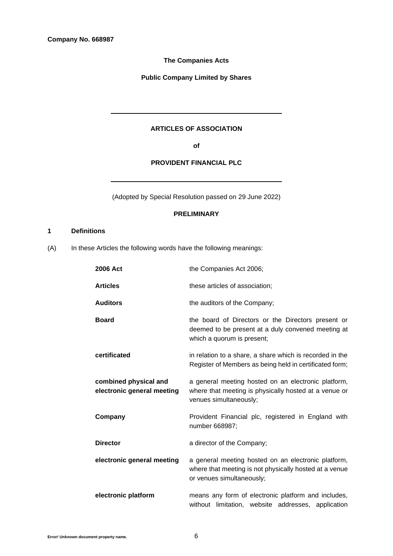# **The Companies Acts**

**Public Company Limited by Shares**

# **ARTICLES OF ASSOCIATION**

**of**

# **PROVIDENT FINANCIAL PLC**

(Adopted by Special Resolution passed on 29 June 2022)

# **PRELIMINARY**

# <span id="page-5-1"></span>**1 Definitions**

<span id="page-5-0"></span>(A) In these Articles the following words have the following meanings:

| 2006 Act                                            | the Companies Act 2006;                                                                                                                    |
|-----------------------------------------------------|--------------------------------------------------------------------------------------------------------------------------------------------|
| <b>Articles</b>                                     | these articles of association;                                                                                                             |
| <b>Auditors</b>                                     | the auditors of the Company;                                                                                                               |
| <b>Board</b>                                        | the board of Directors or the Directors present or<br>deemed to be present at a duly convened meeting at<br>which a quorum is present;     |
| certificated                                        | in relation to a share, a share which is recorded in the<br>Register of Members as being held in certificated form;                        |
| combined physical and<br>electronic general meeting | a general meeting hosted on an electronic platform,<br>where that meeting is physically hosted at a venue or<br>venues simultaneously;     |
| Company                                             | Provident Financial plc, registered in England with<br>number 668987;                                                                      |
| <b>Director</b>                                     | a director of the Company;                                                                                                                 |
| electronic general meeting                          | a general meeting hosted on an electronic platform,<br>where that meeting is not physically hosted at a venue<br>or venues simultaneously; |
| electronic platform                                 | means any form of electronic platform and includes,<br>without limitation, website addresses, application                                  |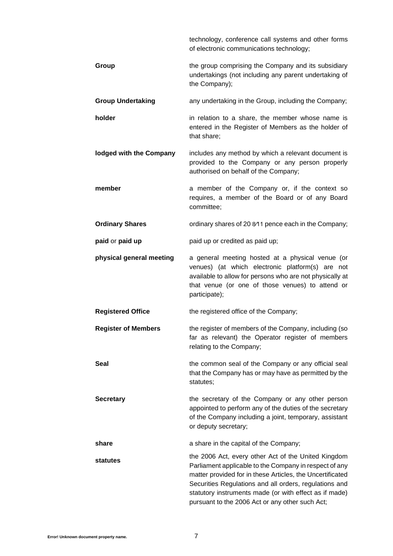|                            | technology, conference call systems and other forms<br>of electronic communications technology;                                                                                                                                                                                                                                                   |
|----------------------------|---------------------------------------------------------------------------------------------------------------------------------------------------------------------------------------------------------------------------------------------------------------------------------------------------------------------------------------------------|
| Group                      | the group comprising the Company and its subsidiary<br>undertakings (not including any parent undertaking of<br>the Company);                                                                                                                                                                                                                     |
| <b>Group Undertaking</b>   | any undertaking in the Group, including the Company;                                                                                                                                                                                                                                                                                              |
| holder                     | in relation to a share, the member whose name is<br>entered in the Register of Members as the holder of<br>that share;                                                                                                                                                                                                                            |
| lodged with the Company    | includes any method by which a relevant document is<br>provided to the Company or any person properly<br>authorised on behalf of the Company;                                                                                                                                                                                                     |
| member                     | a member of the Company or, if the context so<br>requires, a member of the Board or of any Board<br>committee;                                                                                                                                                                                                                                    |
| <b>Ordinary Shares</b>     | ordinary shares of 20 8/11 pence each in the Company;                                                                                                                                                                                                                                                                                             |
| paid or paid up            | paid up or credited as paid up;                                                                                                                                                                                                                                                                                                                   |
| physical general meeting   | a general meeting hosted at a physical venue (or<br>venues) (at which electronic platform(s) are not<br>available to allow for persons who are not physically at<br>that venue (or one of those venues) to attend or<br>participate);                                                                                                             |
| <b>Registered Office</b>   | the registered office of the Company;                                                                                                                                                                                                                                                                                                             |
| <b>Register of Members</b> | the register of members of the Company, including (so<br>far as relevant) the Operator register of members<br>relating to the Company;                                                                                                                                                                                                            |
| <b>Seal</b>                | the common seal of the Company or any official seal<br>that the Company has or may have as permitted by the<br>statutes;                                                                                                                                                                                                                          |
| <b>Secretary</b>           | the secretary of the Company or any other person<br>appointed to perform any of the duties of the secretary<br>of the Company including a joint, temporary, assistant<br>or deputy secretary;                                                                                                                                                     |
| share                      | a share in the capital of the Company;                                                                                                                                                                                                                                                                                                            |
| statutes                   | the 2006 Act, every other Act of the United Kingdom<br>Parliament applicable to the Company in respect of any<br>matter provided for in these Articles, the Uncertificated<br>Securities Regulations and all orders, regulations and<br>statutory instruments made (or with effect as if made)<br>pursuant to the 2006 Act or any other such Act; |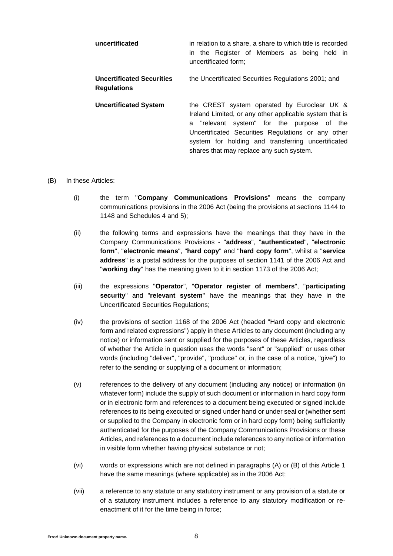| uncertificated                                         | in relation to a share, a share to which title is recorded<br>in the Register of Members as being held in<br>uncertificated form;                                                                                                                                                                            |
|--------------------------------------------------------|--------------------------------------------------------------------------------------------------------------------------------------------------------------------------------------------------------------------------------------------------------------------------------------------------------------|
| <b>Uncertificated Securities</b><br><b>Regulations</b> | the Uncertificated Securities Regulations 2001; and                                                                                                                                                                                                                                                          |
| <b>Uncertificated System</b>                           | the CREST system operated by Euroclear UK &<br>Ireland Limited, or any other applicable system that is<br>a "relevant system" for the purpose of the<br>Uncertificated Securities Regulations or any other<br>system for holding and transferring uncertificated<br>shares that may replace any such system. |

### <span id="page-7-0"></span>(B) In these Articles:

- (i) the term "**Company Communications Provisions**" means the company communications provisions in the 2006 Act (being the provisions at sections 1144 to 1148 and Schedules 4 and 5);
- (ii) the following terms and expressions have the meanings that they have in the Company Communications Provisions - "**address**", "**authenticated**", "**electronic form**", "**electronic means**", "**hard copy**" and "**hard copy form**", whilst a "**service address**" is a postal address for the purposes of section 1141 of the 2006 Act and "**working day**" has the meaning given to it in section 1173 of the 2006 Act;
- (iii) the expressions "**Operator**", "**Operator register of members**", "**participating security**" and "**relevant system**" have the meanings that they have in the Uncertificated Securities Regulations;
- (iv) the provisions of section 1168 of the 2006 Act (headed "Hard copy and electronic form and related expressions") apply in these Articles to any document (including any notice) or information sent or supplied for the purposes of these Articles, regardless of whether the Article in question uses the words "sent" or "supplied" or uses other words (including "deliver", "provide", "produce" or, in the case of a notice, "give") to refer to the sending or supplying of a document or information;
- (v) references to the delivery of any document (including any notice) or information (in whatever form) include the supply of such document or information in hard copy form or in electronic form and references to a document being executed or signed include references to its being executed or signed under hand or under seal or (whether sent or supplied to the Company in electronic form or in hard copy form) being sufficiently authenticated for the purposes of the Company Communications Provisions or these Articles, and references to a document include references to any notice or information in visible form whether having physical substance or not;
- (vi) words or expressions which are not defined in paragraphs [\(A\)](#page-5-0) or [\(B\)](#page-7-0) of this Article [1](#page-5-1) have the same meanings (where applicable) as in the 2006 Act;
- (vii) a reference to any statute or any statutory instrument or any provision of a statute or of a statutory instrument includes a reference to any statutory modification or reenactment of it for the time being in force;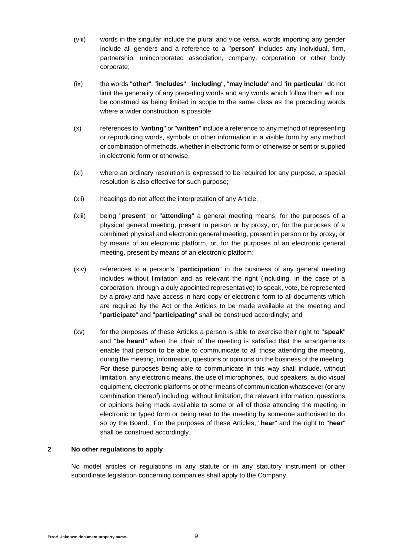- (viii) words in the singular include the plural and vice versa, words importing any gender include all genders and a reference to a "**person**" includes any individual, firm, partnership, unincorporated association, company, corporation or other body corporate;
- (ix) the words "**other**", "**includes**", "**including**", "**may include**" and "**in particular**" do not limit the generality of any preceding words and any words which follow them will not be construed as being limited in scope to the same class as the preceding words where a wider construction is possible;
- (x) references to "**writing**" or "**written**" include a reference to any method of representing or reproducing words, symbols or other information in a visible form by any method or combination of methods, whether in electronic form or otherwise or sent or supplied in electronic form or otherwise;
- (xi) where an ordinary resolution is expressed to be required for any purpose, a special resolution is also effective for such purpose;
- (xii) headings do not affect the interpretation of any Article;
- (xiii) being "**present**" or "**attending**" a general meeting means, for the purposes of a physical general meeting, present in person or by proxy, or, for the purposes of a combined physical and electronic general meeting, present in person or by proxy, or by means of an electronic platform, or, for the purposes of an electronic general meeting, present by means of an electronic platform;
- (xiv) references to a person's "**participation**" in the business of any general meeting includes without limitation and as relevant the right (including, in the case of a corporation, through a duly appointed representative) to speak, vote, be represented by a proxy and have access in hard copy or electronic form to all documents which are required by the Act or the Articles to be made available at the meeting and "**participate**" and "**participating**" shall be construed accordingly; and
- (xv) for the purposes of these Articles a person is able to exercise their right to "**speak**" and "**be heard**" when the chair of the meeting is satisfied that the arrangements enable that person to be able to communicate to all those attending the meeting, during the meeting, information, questions or opinions on the business of the meeting. For these purposes being able to communicate in this way shall include, without limitation, any electronic means, the use of microphones, loud speakers, audio visual equipment, electronic platforms or other means of communication whatsoever (or any combination thereof) including, without limitation, the relevant information, questions or opinions being made available to some or all of those attending the meeting in electronic or typed form or being read to the meeting by someone authorised to do so by the Board. For the purposes of these Articles, "**hear**" and the right to "**hear**" shall be construed accordingly.

### **2 No other regulations to apply**

No model articles or regulations in any statute or in any statutory instrument or other subordinate legislation concerning companies shall apply to the Company.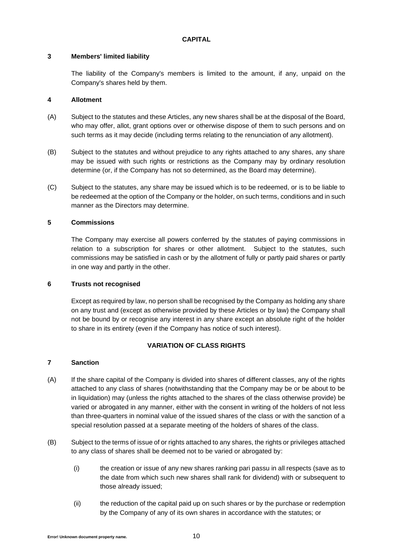## **CAPITAL**

# **3 Members' limited liability**

The liability of the Company's members is limited to the amount, if any, unpaid on the Company's shares held by them.

# **4 Allotment**

- (A) Subject to the statutes and these Articles, any new shares shall be at the disposal of the Board, who may offer, allot, grant options over or otherwise dispose of them to such persons and on such terms as it may decide (including terms relating to the renunciation of any allotment).
- (B) Subject to the statutes and without prejudice to any rights attached to any shares, any share may be issued with such rights or restrictions as the Company may by ordinary resolution determine (or, if the Company has not so determined, as the Board may determine).
- (C) Subject to the statutes, any share may be issued which is to be redeemed, or is to be liable to be redeemed at the option of the Company or the holder, on such terms, conditions and in such manner as the Directors may determine.

# **5 Commissions**

The Company may exercise all powers conferred by the statutes of paying commissions in relation to a subscription for shares or other allotment. Subject to the statutes, such commissions may be satisfied in cash or by the allotment of fully or partly paid shares or partly in one way and partly in the other.

# **6 Trusts not recognised**

Except as required by law, no person shall be recognised by the Company as holding any share on any trust and (except as otherwise provided by these Articles or by law) the Company shall not be bound by or recognise any interest in any share except an absolute right of the holder to share in its entirety (even if the Company has notice of such interest).

# **VARIATION OF CLASS RIGHTS**

# **7 Sanction**

- (A) If the share capital of the Company is divided into shares of different classes, any of the rights attached to any class of shares (notwithstanding that the Company may be or be about to be in liquidation) may (unless the rights attached to the shares of the class otherwise provide) be varied or abrogated in any manner, either with the consent in writing of the holders of not less than three-quarters in nominal value of the issued shares of the class or with the sanction of a special resolution passed at a separate meeting of the holders of shares of the class.
- (B) Subject to the terms of issue of or rights attached to any shares, the rights or privileges attached to any class of shares shall be deemed not to be varied or abrogated by:
	- (i) the creation or issue of any new shares ranking pari passu in all respects (save as to the date from which such new shares shall rank for dividend) with or subsequent to those already issued;
	- (ii) the reduction of the capital paid up on such shares or by the purchase or redemption by the Company of any of its own shares in accordance with the statutes; or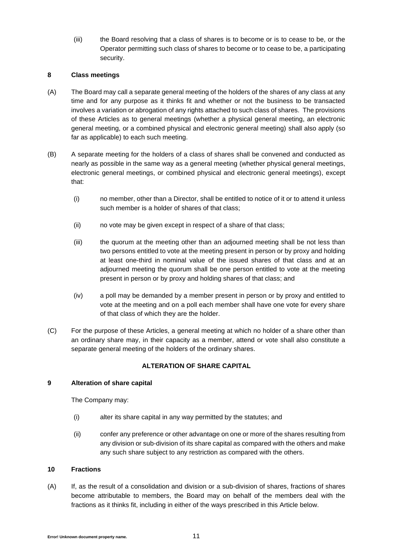(iii) the Board resolving that a class of shares is to become or is to cease to be, or the Operator permitting such class of shares to become or to cease to be, a participating security.

## **8 Class meetings**

- (A) The Board may call a separate general meeting of the holders of the shares of any class at any time and for any purpose as it thinks fit and whether or not the business to be transacted involves a variation or abrogation of any rights attached to such class of shares. The provisions of these Articles as to general meetings (whether a physical general meeting, an electronic general meeting, or a combined physical and electronic general meeting) shall also apply (so far as applicable) to each such meeting.
- (B) A separate meeting for the holders of a class of shares shall be convened and conducted as nearly as possible in the same way as a general meeting (whether physical general meetings, electronic general meetings, or combined physical and electronic general meetings), except that:
	- (i) no member, other than a Director, shall be entitled to notice of it or to attend it unless such member is a holder of shares of that class;
	- (ii) no vote may be given except in respect of a share of that class;
	- (iii) the quorum at the meeting other than an adjourned meeting shall be not less than two persons entitled to vote at the meeting present in person or by proxy and holding at least one-third in nominal value of the issued shares of that class and at an adjourned meeting the quorum shall be one person entitled to vote at the meeting present in person or by proxy and holding shares of that class; and
	- (iv) a poll may be demanded by a member present in person or by proxy and entitled to vote at the meeting and on a poll each member shall have one vote for every share of that class of which they are the holder.
- (C) For the purpose of these Articles, a general meeting at which no holder of a share other than an ordinary share may, in their capacity as a member, attend or vote shall also constitute a separate general meeting of the holders of the ordinary shares.

# **ALTERATION OF SHARE CAPITAL**

# **9 Alteration of share capital**

The Company may:

- (i) alter its share capital in any way permitted by the statutes; and
- (ii) confer any preference or other advantage on one or more of the shares resulting from any division or sub-division of its share capital as compared with the others and make any such share subject to any restriction as compared with the others.

# **10 Fractions**

(A) If, as the result of a consolidation and division or a sub-division of shares, fractions of shares become attributable to members, the Board may on behalf of the members deal with the fractions as it thinks fit, including in either of the ways prescribed in this Article below.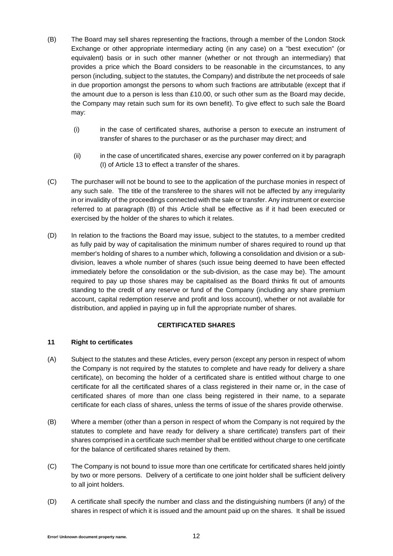- <span id="page-11-0"></span>(B) The Board may sell shares representing the fractions, through a member of the London Stock Exchange or other appropriate intermediary acting (in any case) on a "best execution" (or equivalent) basis or in such other manner (whether or not through an intermediary) that provides a price which the Board considers to be reasonable in the circumstances, to any person (including, subject to the statutes, the Company) and distribute the net proceeds of sale in due proportion amongst the persons to whom such fractions are attributable (except that if the amount due to a person is less than £10.00, or such other sum as the Board may decide, the Company may retain such sum for its own benefit). To give effect to such sale the Board may:
	- (i) in the case of certificated shares, authorise a person to execute an instrument of transfer of shares to the purchaser or as the purchaser may direct; and
	- (ii) in the case of uncertificated shares, exercise any power conferred on it by paragraph [\(I\)](#page-13-0) of Article [13](#page-12-0) to effect a transfer of the shares.
- (C) The purchaser will not be bound to see to the application of the purchase monies in respect of any such sale. The title of the transferee to the shares will not be affected by any irregularity in or invalidity of the proceedings connected with the sale or transfer. Any instrument or exercise referred to at paragraph [\(B\)](#page-11-0) of this Article shall be effective as if it had been executed or exercised by the holder of the shares to which it relates.
- (D) In relation to the fractions the Board may issue, subject to the statutes, to a member credited as fully paid by way of capitalisation the minimum number of shares required to round up that member's holding of shares to a number which, following a consolidation and division or a subdivision, leaves a whole number of shares (such issue being deemed to have been effected immediately before the consolidation or the sub-division, as the case may be). The amount required to pay up those shares may be capitalised as the Board thinks fit out of amounts standing to the credit of any reserve or fund of the Company (including any share premium account, capital redemption reserve and profit and loss account), whether or not available for distribution, and applied in paying up in full the appropriate number of shares.

# **CERTIFICATED SHARES**

# **11 Right to certificates**

- (A) Subject to the statutes and these Articles, every person (except any person in respect of whom the Company is not required by the statutes to complete and have ready for delivery a share certificate), on becoming the holder of a certificated share is entitled without charge to one certificate for all the certificated shares of a class registered in their name or, in the case of certificated shares of more than one class being registered in their name, to a separate certificate for each class of shares, unless the terms of issue of the shares provide otherwise.
- (B) Where a member (other than a person in respect of whom the Company is not required by the statutes to complete and have ready for delivery a share certificate) transfers part of their shares comprised in a certificate such member shall be entitled without charge to one certificate for the balance of certificated shares retained by them.
- (C) The Company is not bound to issue more than one certificate for certificated shares held jointly by two or more persons. Delivery of a certificate to one joint holder shall be sufficient delivery to all joint holders.
- (D) A certificate shall specify the number and class and the distinguishing numbers (if any) of the shares in respect of which it is issued and the amount paid up on the shares. It shall be issued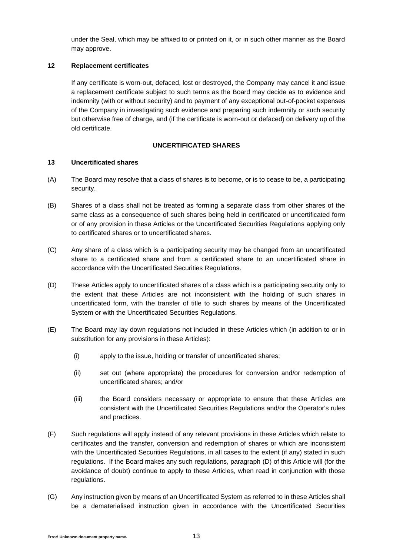under the Seal, which may be affixed to or printed on it, or in such other manner as the Board may approve.

## **12 Replacement certificates**

If any certificate is worn-out, defaced, lost or destroyed, the Company may cancel it and issue a replacement certificate subject to such terms as the Board may decide as to evidence and indemnity (with or without security) and to payment of any exceptional out-of-pocket expenses of the Company in investigating such evidence and preparing such indemnity or such security but otherwise free of charge, and (if the certificate is worn-out or defaced) on delivery up of the old certificate.

# **UNCERTIFICATED SHARES**

### <span id="page-12-0"></span>**13 Uncertificated shares**

- (A) The Board may resolve that a class of shares is to become, or is to cease to be, a participating security.
- (B) Shares of a class shall not be treated as forming a separate class from other shares of the same class as a consequence of such shares being held in certificated or uncertificated form or of any provision in these Articles or the Uncertificated Securities Regulations applying only to certificated shares or to uncertificated shares.
- (C) Any share of a class which is a participating security may be changed from an uncertificated share to a certificated share and from a certificated share to an uncertificated share in accordance with the Uncertificated Securities Regulations.
- <span id="page-12-1"></span>(D) These Articles apply to uncertificated shares of a class which is a participating security only to the extent that these Articles are not inconsistent with the holding of such shares in uncertificated form, with the transfer of title to such shares by means of the Uncertificated System or with the Uncertificated Securities Regulations.
- (E) The Board may lay down regulations not included in these Articles which (in addition to or in substitution for any provisions in these Articles):
	- (i) apply to the issue, holding or transfer of uncertificated shares;
	- (ii) set out (where appropriate) the procedures for conversion and/or redemption of uncertificated shares; and/or
	- (iii) the Board considers necessary or appropriate to ensure that these Articles are consistent with the Uncertificated Securities Regulations and/or the Operator's rules and practices.
- (F) Such regulations will apply instead of any relevant provisions in these Articles which relate to certificates and the transfer, conversion and redemption of shares or which are inconsistent with the Uncertificated Securities Regulations, in all cases to the extent (if any) stated in such regulations. If the Board makes any such regulations, paragraph [\(D\)](#page-12-1) of this Article will (for the avoidance of doubt) continue to apply to these Articles, when read in conjunction with those regulations.
- (G) Any instruction given by means of an Uncertificated System as referred to in these Articles shall be a dematerialised instruction given in accordance with the Uncertificated Securities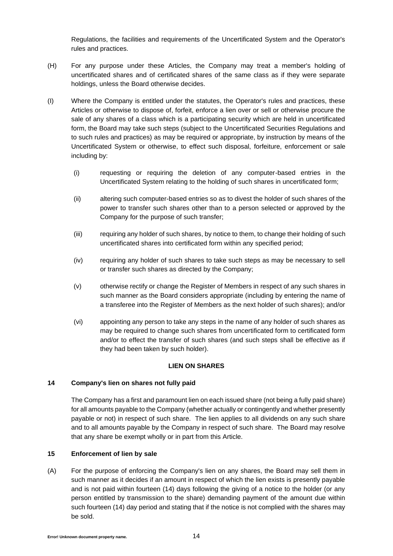Regulations, the facilities and requirements of the Uncertificated System and the Operator's rules and practices.

- (H) For any purpose under these Articles, the Company may treat a member's holding of uncertificated shares and of certificated shares of the same class as if they were separate holdings, unless the Board otherwise decides.
- <span id="page-13-0"></span>(I) Where the Company is entitled under the statutes, the Operator's rules and practices, these Articles or otherwise to dispose of, forfeit, enforce a lien over or sell or otherwise procure the sale of any shares of a class which is a participating security which are held in uncertificated form, the Board may take such steps (subject to the Uncertificated Securities Regulations and to such rules and practices) as may be required or appropriate, by instruction by means of the Uncertificated System or otherwise, to effect such disposal, forfeiture, enforcement or sale including by:
	- (i) requesting or requiring the deletion of any computer-based entries in the Uncertificated System relating to the holding of such shares in uncertificated form;
	- (ii) altering such computer-based entries so as to divest the holder of such shares of the power to transfer such shares other than to a person selected or approved by the Company for the purpose of such transfer;
	- (iii) requiring any holder of such shares, by notice to them, to change their holding of such uncertificated shares into certificated form within any specified period;
	- (iv) requiring any holder of such shares to take such steps as may be necessary to sell or transfer such shares as directed by the Company;
	- (v) otherwise rectify or change the Register of Members in respect of any such shares in such manner as the Board considers appropriate (including by entering the name of a transferee into the Register of Members as the next holder of such shares); and/or
	- (vi) appointing any person to take any steps in the name of any holder of such shares as may be required to change such shares from uncertificated form to certificated form and/or to effect the transfer of such shares (and such steps shall be effective as if they had been taken by such holder).

# **LIEN ON SHARES**

# **14 Company's lien on shares not fully paid**

The Company has a first and paramount lien on each issued share (not being a fully paid share) for all amounts payable to the Company (whether actually or contingently and whether presently payable or not) in respect of such share. The lien applies to all dividends on any such share and to all amounts payable by the Company in respect of such share. The Board may resolve that any share be exempt wholly or in part from this Article.

# **15 Enforcement of lien by sale**

(A) For the purpose of enforcing the Company's lien on any shares, the Board may sell them in such manner as it decides if an amount in respect of which the lien exists is presently payable and is not paid within fourteen (14) days following the giving of a notice to the holder (or any person entitled by transmission to the share) demanding payment of the amount due within such fourteen (14) day period and stating that if the notice is not complied with the shares may be sold.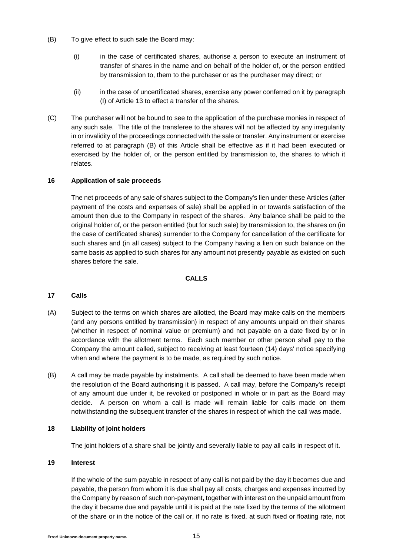- <span id="page-14-0"></span>(B) To give effect to such sale the Board may:
	- (i) in the case of certificated shares, authorise a person to execute an instrument of transfer of shares in the name and on behalf of the holder of, or the person entitled by transmission to, them to the purchaser or as the purchaser may direct; or
	- (ii) in the case of uncertificated shares, exercise any power conferred on it by paragraph [\(I\)](#page-13-0) of Article [13](#page-12-0) to effect a transfer of the shares.
- (C) The purchaser will not be bound to see to the application of the purchase monies in respect of any such sale. The title of the transferee to the shares will not be affected by any irregularity in or invalidity of the proceedings connected with the sale or transfer. Any instrument or exercise referred to at paragraph [\(B\)](#page-14-0) of this Article shall be effective as if it had been executed or exercised by the holder of, or the person entitled by transmission to, the shares to which it relates.

### **16 Application of sale proceeds**

The net proceeds of any sale of shares subject to the Company's lien under these Articles (after payment of the costs and expenses of sale) shall be applied in or towards satisfaction of the amount then due to the Company in respect of the shares. Any balance shall be paid to the original holder of, or the person entitled (but for such sale) by transmission to, the shares on (in the case of certificated shares) surrender to the Company for cancellation of the certificate for such shares and (in all cases) subject to the Company having a lien on such balance on the same basis as applied to such shares for any amount not presently payable as existed on such shares before the sale.

## **CALLS**

### **17 Calls**

- (A) Subject to the terms on which shares are allotted, the Board may make calls on the members (and any persons entitled by transmission) in respect of any amounts unpaid on their shares (whether in respect of nominal value or premium) and not payable on a date fixed by or in accordance with the allotment terms. Each such member or other person shall pay to the Company the amount called, subject to receiving at least fourteen (14) days' notice specifying when and where the payment is to be made, as required by such notice.
- (B) A call may be made payable by instalments. A call shall be deemed to have been made when the resolution of the Board authorising it is passed. A call may, before the Company's receipt of any amount due under it, be revoked or postponed in whole or in part as the Board may decide. A person on whom a call is made will remain liable for calls made on them notwithstanding the subsequent transfer of the shares in respect of which the call was made.

### **18 Liability of joint holders**

The joint holders of a share shall be jointly and severally liable to pay all calls in respect of it.

## **19 Interest**

If the whole of the sum payable in respect of any call is not paid by the day it becomes due and payable, the person from whom it is due shall pay all costs, charges and expenses incurred by the Company by reason of such non-payment, together with interest on the unpaid amount from the day it became due and payable until it is paid at the rate fixed by the terms of the allotment of the share or in the notice of the call or, if no rate is fixed, at such fixed or floating rate, not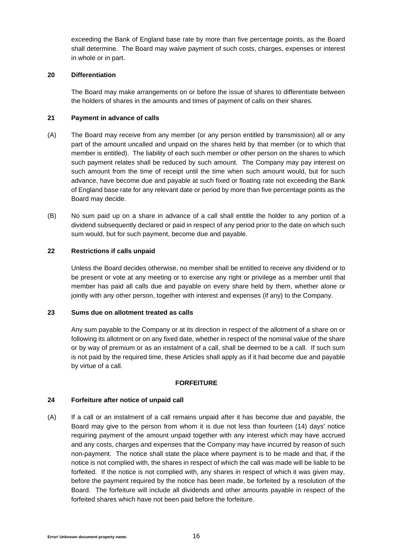exceeding the Bank of England base rate by more than five percentage points, as the Board shall determine. The Board may waive payment of such costs, charges, expenses or interest in whole or in part.

### **20 Differentiation**

The Board may make arrangements on or before the issue of shares to differentiate between the holders of shares in the amounts and times of payment of calls on their shares.

### **21 Payment in advance of calls**

- (A) The Board may receive from any member (or any person entitled by transmission) all or any part of the amount uncalled and unpaid on the shares held by that member (or to which that member is entitled). The liability of each such member or other person on the shares to which such payment relates shall be reduced by such amount. The Company may pay interest on such amount from the time of receipt until the time when such amount would, but for such advance, have become due and payable at such fixed or floating rate not exceeding the Bank of England base rate for any relevant date or period by more than five percentage points as the Board may decide.
- (B) No sum paid up on a share in advance of a call shall entitle the holder to any portion of a dividend subsequently declared or paid in respect of any period prior to the date on which such sum would, but for such payment, become due and payable.

# **22 Restrictions if calls unpaid**

Unless the Board decides otherwise, no member shall be entitled to receive any dividend or to be present or vote at any meeting or to exercise any right or privilege as a member until that member has paid all calls due and payable on every share held by them, whether alone or jointly with any other person, together with interest and expenses (if any) to the Company.

### **23 Sums due on allotment treated as calls**

Any sum payable to the Company or at its direction in respect of the allotment of a share on or following its allotment or on any fixed date, whether in respect of the nominal value of the share or by way of premium or as an instalment of a call, shall be deemed to be a call. If such sum is not paid by the required time, these Articles shall apply as if it had become due and payable by virtue of a call.

# **FORFEITURE**

# **24 Forfeiture after notice of unpaid call**

(A) If a call or an instalment of a call remains unpaid after it has become due and payable, the Board may give to the person from whom it is due not less than fourteen (14) days' notice requiring payment of the amount unpaid together with any interest which may have accrued and any costs, charges and expenses that the Company may have incurred by reason of such non-payment. The notice shall state the place where payment is to be made and that, if the notice is not complied with, the shares in respect of which the call was made will be liable to be forfeited. If the notice is not complied with, any shares in respect of which it was given may, before the payment required by the notice has been made, be forfeited by a resolution of the Board. The forfeiture will include all dividends and other amounts payable in respect of the forfeited shares which have not been paid before the forfeiture.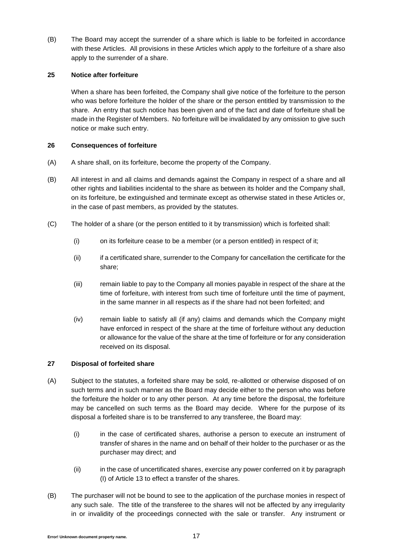(B) The Board may accept the surrender of a share which is liable to be forfeited in accordance with these Articles. All provisions in these Articles which apply to the forfeiture of a share also apply to the surrender of a share.

# **25 Notice after forfeiture**

When a share has been forfeited, the Company shall give notice of the forfeiture to the person who was before forfeiture the holder of the share or the person entitled by transmission to the share. An entry that such notice has been given and of the fact and date of forfeiture shall be made in the Register of Members. No forfeiture will be invalidated by any omission to give such notice or make such entry.

### **26 Consequences of forfeiture**

- (A) A share shall, on its forfeiture, become the property of the Company.
- (B) All interest in and all claims and demands against the Company in respect of a share and all other rights and liabilities incidental to the share as between its holder and the Company shall, on its forfeiture, be extinguished and terminate except as otherwise stated in these Articles or, in the case of past members, as provided by the statutes.
- (C) The holder of a share (or the person entitled to it by transmission) which is forfeited shall:
	- (i) on its forfeiture cease to be a member (or a person entitled) in respect of it;
	- (ii) if a certificated share, surrender to the Company for cancellation the certificate for the share;
	- (iii) remain liable to pay to the Company all monies payable in respect of the share at the time of forfeiture, with interest from such time of forfeiture until the time of payment, in the same manner in all respects as if the share had not been forfeited; and
	- (iv) remain liable to satisfy all (if any) claims and demands which the Company might have enforced in respect of the share at the time of forfeiture without any deduction or allowance for the value of the share at the time of forfeiture or for any consideration received on its disposal.

# **27 Disposal of forfeited share**

- <span id="page-16-0"></span>(A) Subject to the statutes, a forfeited share may be sold, re-allotted or otherwise disposed of on such terms and in such manner as the Board may decide either to the person who was before the forfeiture the holder or to any other person. At any time before the disposal, the forfeiture may be cancelled on such terms as the Board may decide. Where for the purpose of its disposal a forfeited share is to be transferred to any transferee, the Board may:
	- (i) in the case of certificated shares, authorise a person to execute an instrument of transfer of shares in the name and on behalf of their holder to the purchaser or as the purchaser may direct; and
	- (ii) in the case of uncertificated shares, exercise any power conferred on it by paragraph [\(I\)](#page-13-0) of Article [13](#page-12-0) to effect a transfer of the shares.
- <span id="page-16-1"></span>(B) The purchaser will not be bound to see to the application of the purchase monies in respect of any such sale. The title of the transferee to the shares will not be affected by any irregularity in or invalidity of the proceedings connected with the sale or transfer. Any instrument or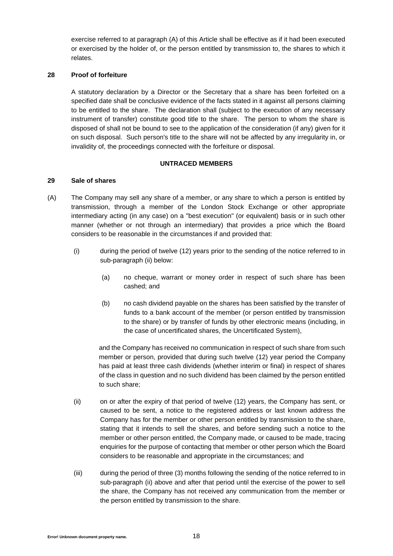exercise referred to at paragraph [\(A\)](#page-16-0) of this Article shall be effective as if it had been executed or exercised by the holder of, or the person entitled by transmission to, the shares to which it relates.

### **28 Proof of forfeiture**

A statutory declaration by a Director or the Secretary that a share has been forfeited on a specified date shall be conclusive evidence of the facts stated in it against all persons claiming to be entitled to the share. The declaration shall (subject to the execution of any necessary instrument of transfer) constitute good title to the share. The person to whom the share is disposed of shall not be bound to see to the application of the consideration (if any) given for it on such disposal. Such person's title to the share will not be affected by any irregularity in, or invalidity of, the proceedings connected with the forfeiture or disposal.

## **UNTRACED MEMBERS**

### <span id="page-17-2"></span>**29 Sale of shares**

- <span id="page-17-1"></span>(A) The Company may sell any share of a member, or any share to which a person is entitled by transmission, through a member of the London Stock Exchange or other appropriate intermediary acting (in any case) on a "best execution" (or equivalent) basis or in such other manner (whether or not through an intermediary) that provides a price which the Board considers to be reasonable in the circumstances if and provided that:
	- (i) during the period of twelve (12) years prior to the sending of the notice referred to in sub-paragraph [\(ii\)](#page-16-1) below:
		- (a) no cheque, warrant or money order in respect of such share has been cashed; and
		- (b) no cash dividend payable on the shares has been satisfied by the transfer of funds to a bank account of the member (or person entitled by transmission to the share) or by transfer of funds by other electronic means (including, in the case of uncertificated shares, the Uncertificated System),

and the Company has received no communication in respect of such share from such member or person, provided that during such twelve (12) year period the Company has paid at least three cash dividends (whether interim or final) in respect of shares of the class in question and no such dividend has been claimed by the person entitled to such share;

- <span id="page-17-0"></span>(ii) on or after the expiry of that period of twelve (12) years, the Company has sent, or caused to be sent, a notice to the registered address or last known address the Company has for the member or other person entitled by transmission to the share, stating that it intends to sell the shares, and before sending such a notice to the member or other person entitled, the Company made, or caused to be made, tracing enquiries for the purpose of contacting that member or other person which the Board considers to be reasonable and appropriate in the circumstances; and
- (iii) during the period of three (3) months following the sending of the notice referred to in sub-paragraph [\(ii\)](#page-17-0) above and after that period until the exercise of the power to sell the share, the Company has not received any communication from the member or the person entitled by transmission to the share.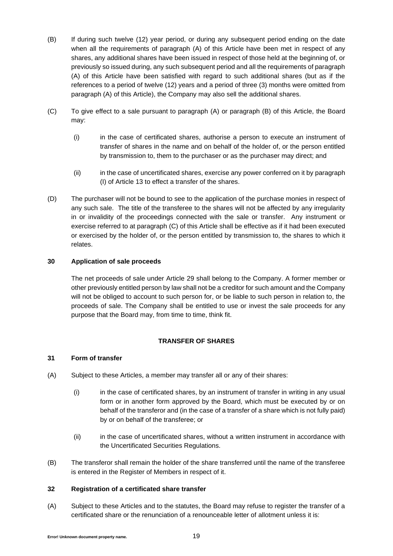- <span id="page-18-0"></span>(B) If during such twelve (12) year period, or during any subsequent period ending on the date when all the requirements of paragraph [\(A\)](#page-17-1) of this Article have been met in respect of any shares, any additional shares have been issued in respect of those held at the beginning of, or previously so issued during, any such subsequent period and all the requirements of paragraph [\(A\)](#page-17-1) of this Article have been satisfied with regard to such additional shares (but as if the references to a period of twelve (12) years and a period of three (3) months were omitted from paragraph [\(A\)](#page-17-1) of this Article), the Company may also sell the additional shares.
- <span id="page-18-1"></span>(C) To give effect to a sale pursuant to paragraph [\(A\)](#page-17-1) or paragraph [\(B\)](#page-18-0) of this Article, the Board may:
	- (i) in the case of certificated shares, authorise a person to execute an instrument of transfer of shares in the name and on behalf of the holder of, or the person entitled by transmission to, them to the purchaser or as the purchaser may direct; and
	- (ii) in the case of uncertificated shares, exercise any power conferred on it by paragraph [\(I\)](#page-13-0) of Article [13](#page-12-0) to effect a transfer of the shares.
- (D) The purchaser will not be bound to see to the application of the purchase monies in respect of any such sale. The title of the transferee to the shares will not be affected by any irregularity in or invalidity of the proceedings connected with the sale or transfer. Any instrument or exercise referred to at paragraph [\(C\)](#page-18-1) of this Article shall be effective as if it had been executed or exercised by the holder of, or the person entitled by transmission to, the shares to which it relates.

# **30 Application of sale proceeds**

The net proceeds of sale under Article [29](#page-17-2) shall belong to the Company. A former member or other previously entitled person by law shall not be a creditor for such amount and the Company will not be obliged to account to such person for, or be liable to such person in relation to, the proceeds of sale. The Company shall be entitled to use or invest the sale proceeds for any purpose that the Board may, from time to time, think fit.

# **TRANSFER OF SHARES**

# **31 Form of transfer**

- (A) Subject to these Articles, a member may transfer all or any of their shares:
	- (i) in the case of certificated shares, by an instrument of transfer in writing in any usual form or in another form approved by the Board, which must be executed by or on behalf of the transferor and (in the case of a transfer of a share which is not fully paid) by or on behalf of the transferee; or
	- (ii) in the case of uncertificated shares, without a written instrument in accordance with the Uncertificated Securities Regulations.
- (B) The transferor shall remain the holder of the share transferred until the name of the transferee is entered in the Register of Members in respect of it.

# **32 Registration of a certificated share transfer**

(A) Subject to these Articles and to the statutes, the Board may refuse to register the transfer of a certificated share or the renunciation of a renounceable letter of allotment unless it is: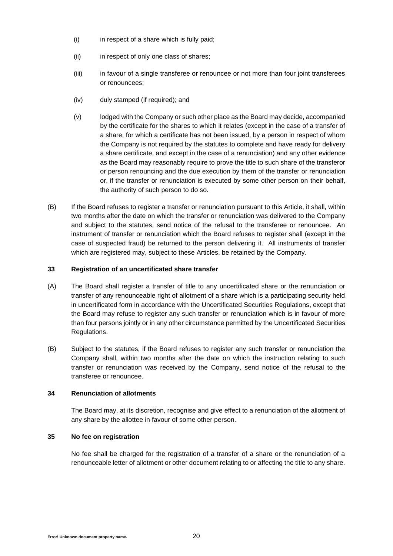- (i) in respect of a share which is fully paid;
- (ii) in respect of only one class of shares;
- (iii) in favour of a single transferee or renouncee or not more than four joint transferees or renouncees;
- (iv) duly stamped (if required); and
- (v) lodged with the Company or such other place as the Board may decide, accompanied by the certificate for the shares to which it relates (except in the case of a transfer of a share, for which a certificate has not been issued, by a person in respect of whom the Company is not required by the statutes to complete and have ready for delivery a share certificate, and except in the case of a renunciation) and any other evidence as the Board may reasonably require to prove the title to such share of the transferor or person renouncing and the due execution by them of the transfer or renunciation or, if the transfer or renunciation is executed by some other person on their behalf, the authority of such person to do so.
- (B) If the Board refuses to register a transfer or renunciation pursuant to this Article, it shall, within two months after the date on which the transfer or renunciation was delivered to the Company and subject to the statutes, send notice of the refusal to the transferee or renouncee. An instrument of transfer or renunciation which the Board refuses to register shall (except in the case of suspected fraud) be returned to the person delivering it. All instruments of transfer which are registered may, subject to these Articles, be retained by the Company.

# **33 Registration of an uncertificated share transfer**

- (A) The Board shall register a transfer of title to any uncertificated share or the renunciation or transfer of any renounceable right of allotment of a share which is a participating security held in uncertificated form in accordance with the Uncertificated Securities Regulations, except that the Board may refuse to register any such transfer or renunciation which is in favour of more than four persons jointly or in any other circumstance permitted by the Uncertificated Securities Regulations.
- (B) Subject to the statutes, if the Board refuses to register any such transfer or renunciation the Company shall, within two months after the date on which the instruction relating to such transfer or renunciation was received by the Company, send notice of the refusal to the transferee or renouncee.

# **34 Renunciation of allotments**

The Board may, at its discretion, recognise and give effect to a renunciation of the allotment of any share by the allottee in favour of some other person.

# **35 No fee on registration**

No fee shall be charged for the registration of a transfer of a share or the renunciation of a renounceable letter of allotment or other document relating to or affecting the title to any share.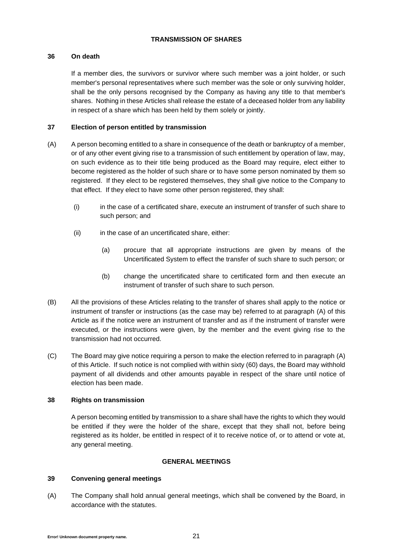# **TRANSMISSION OF SHARES**

# **36 On death**

If a member dies, the survivors or survivor where such member was a joint holder, or such member's personal representatives where such member was the sole or only surviving holder, shall be the only persons recognised by the Company as having any title to that member's shares. Nothing in these Articles shall release the estate of a deceased holder from any liability in respect of a share which has been held by them solely or jointly.

# **37 Election of person entitled by transmission**

- <span id="page-20-0"></span>(A) A person becoming entitled to a share in consequence of the death or bankruptcy of a member, or of any other event giving rise to a transmission of such entitlement by operation of law, may, on such evidence as to their title being produced as the Board may require, elect either to become registered as the holder of such share or to have some person nominated by them so registered. If they elect to be registered themselves, they shall give notice to the Company to that effect. If they elect to have some other person registered, they shall:
	- (i) in the case of a certificated share, execute an instrument of transfer of such share to such person; and
	- (ii) in the case of an uncertificated share, either:
		- (a) procure that all appropriate instructions are given by means of the Uncertificated System to effect the transfer of such share to such person; or
		- (b) change the uncertificated share to certificated form and then execute an instrument of transfer of such share to such person.
- (B) All the provisions of these Articles relating to the transfer of shares shall apply to the notice or instrument of transfer or instructions (as the case may be) referred to at paragraph [\(A\)](#page-20-0) of this Article as if the notice were an instrument of transfer and as if the instrument of transfer were executed, or the instructions were given, by the member and the event giving rise to the transmission had not occurred.
- (C) The Board may give notice requiring a person to make the election referred to in paragraph [\(A\)](#page-20-0) of this Article. If such notice is not complied with within sixty (60) days, the Board may withhold payment of all dividends and other amounts payable in respect of the share until notice of election has been made.

# **38 Rights on transmission**

A person becoming entitled by transmission to a share shall have the rights to which they would be entitled if they were the holder of the share, except that they shall not, before being registered as its holder, be entitled in respect of it to receive notice of, or to attend or vote at, any general meeting.

# **GENERAL MEETINGS**

# **39 Convening general meetings**

(A) The Company shall hold annual general meetings, which shall be convened by the Board, in accordance with the statutes.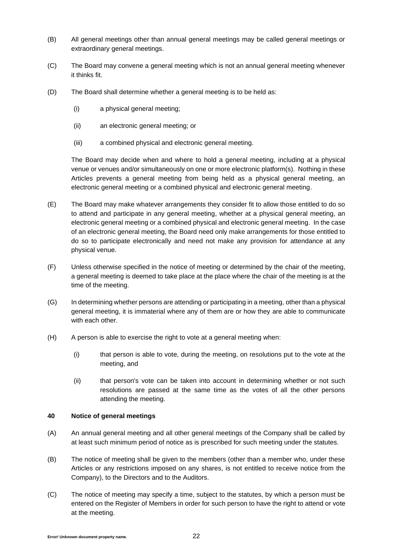- (B) All general meetings other than annual general meetings may be called general meetings or extraordinary general meetings.
- (C) The Board may convene a general meeting which is not an annual general meeting whenever it thinks fit.
- (D) The Board shall determine whether a general meeting is to be held as:
	- (i) a physical general meeting;
	- (ii) an electronic general meeting; or
	- (iii) a combined physical and electronic general meeting.

The Board may decide when and where to hold a general meeting, including at a physical venue or venues and/or simultaneously on one or more electronic platform(s). Nothing in these Articles prevents a general meeting from being held as a physical general meeting, an electronic general meeting or a combined physical and electronic general meeting.

- (E) The Board may make whatever arrangements they consider fit to allow those entitled to do so to attend and participate in any general meeting, whether at a physical general meeting, an electronic general meeting or a combined physical and electronic general meeting. In the case of an electronic general meeting, the Board need only make arrangements for those entitled to do so to participate electronically and need not make any provision for attendance at any physical venue.
- (F) Unless otherwise specified in the notice of meeting or determined by the chair of the meeting, a general meeting is deemed to take place at the place where the chair of the meeting is at the time of the meeting.
- (G) In determining whether persons are attending or participating in a meeting, other than a physical general meeting, it is immaterial where any of them are or how they are able to communicate with each other.
- (H) A person is able to exercise the right to vote at a general meeting when:
	- (i) that person is able to vote, during the meeting, on resolutions put to the vote at the meeting, and
	- (ii) that person's vote can be taken into account in determining whether or not such resolutions are passed at the same time as the votes of all the other persons attending the meeting.

## **40 Notice of general meetings**

- (A) An annual general meeting and all other general meetings of the Company shall be called by at least such minimum period of notice as is prescribed for such meeting under the statutes.
- (B) The notice of meeting shall be given to the members (other than a member who, under these Articles or any restrictions imposed on any shares, is not entitled to receive notice from the Company), to the Directors and to the Auditors.
- (C) The notice of meeting may specify a time, subject to the statutes, by which a person must be entered on the Register of Members in order for such person to have the right to attend or vote at the meeting.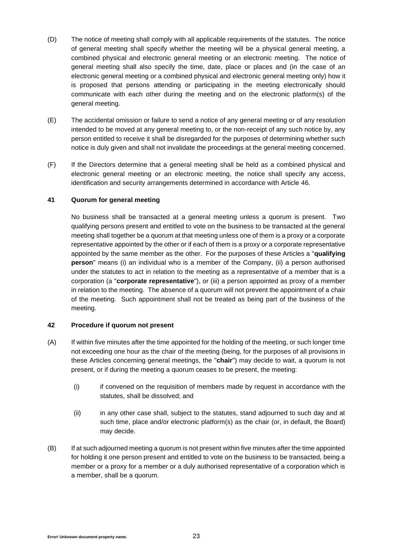- (D) The notice of meeting shall comply with all applicable requirements of the statutes. The notice of general meeting shall specify whether the meeting will be a physical general meeting, a combined physical and electronic general meeting or an electronic meeting. The notice of general meeting shall also specify the time, date, place or places and (in the case of an electronic general meeting or a combined physical and electronic general meeting only) how it is proposed that persons attending or participating in the meeting electronically should communicate with each other during the meeting and on the electronic platform(s) of the general meeting.
- (E) The accidental omission or failure to send a notice of any general meeting or of any resolution intended to be moved at any general meeting to, or the non-receipt of any such notice by, any person entitled to receive it shall be disregarded for the purposes of determining whether such notice is duly given and shall not invalidate the proceedings at the general meeting concerned.
- (F) If the Directors determine that a general meeting shall be held as a combined physical and electronic general meeting or an electronic meeting, the notice shall specify any access, identification and security arrangements determined in accordance with Article [46.](#page-23-0)

# <span id="page-22-0"></span>**41 Quorum for general meeting**

No business shall be transacted at a general meeting unless a quorum is present. Two qualifying persons present and entitled to vote on the business to be transacted at the general meeting shall together be a quorum at that meeting unless one of them is a proxy or a corporate representative appointed by the other or if each of them is a proxy or a corporate representative appointed by the same member as the other. For the purposes of these Articles a "**qualifying person**" means (i) an individual who is a member of the Company, (ii) a person authorised under the statutes to act in relation to the meeting as a representative of a member that is a corporation (a "**corporate representative**"), or (iii) a person appointed as proxy of a member in relation to the meeting. The absence of a quorum will not prevent the appointment of a chair of the meeting. Such appointment shall not be treated as being part of the business of the meeting.

## **42 Procedure if quorum not present**

- (A) If within five minutes after the time appointed for the holding of the meeting, or such longer time not exceeding one hour as the chair of the meeting (being, for the purposes of all provisions in these Articles concerning general meetings, the "**chair**") may decide to wait, a quorum is not present, or if during the meeting a quorum ceases to be present, the meeting:
	- (i) if convened on the requisition of members made by request in accordance with the statutes, shall be dissolved; and
	- (ii) in any other case shall, subject to the statutes, stand adjourned to such day and at such time, place and/or electronic platform(s) as the chair (or, in default, the Board) may decide.
- (B) If at such adjourned meeting a quorum is not present within five minutes after the time appointed for holding it one person present and entitled to vote on the business to be transacted, being a member or a proxy for a member or a duly authorised representative of a corporation which is a member, shall be a quorum.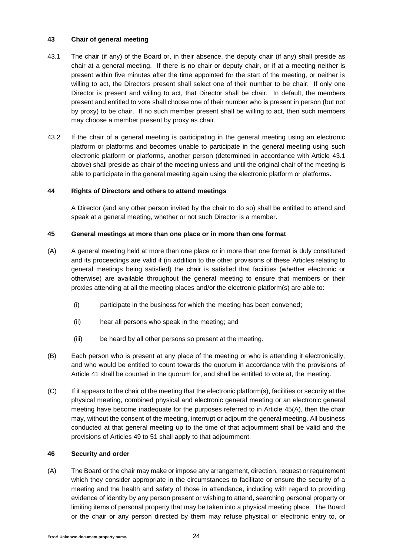# **43 Chair of general meeting**

- 43.1 The chair (if any) of the Board or, in their absence, the deputy chair (if any) shall preside as chair at a general meeting. If there is no chair or deputy chair, or if at a meeting neither is present within five minutes after the time appointed for the start of the meeting, or neither is willing to act, the Directors present shall select one of their number to be chair. If only one Director is present and willing to act, that Director shall be chair. In default, the members present and entitled to vote shall choose one of their number who is present in person (but not by proxy) to be chair. If no such member present shall be willing to act, then such members may choose a member present by proxy as chair.
- 43.2 If the chair of a general meeting is participating in the general meeting using an electronic platform or platforms and becomes unable to participate in the general meeting using such electronic platform or platforms, another person (determined in accordance with Article 43.1 above) shall preside as chair of the meeting unless and until the original chair of the meeting is able to participate in the general meeting again using the electronic platform or platforms.

### **44 Rights of Directors and others to attend meetings**

A Director (and any other person invited by the chair to do so) shall be entitled to attend and speak at a general meeting, whether or not such Director is a member.

### <span id="page-23-1"></span>**45 General meetings at more than one place or in more than one format**

- <span id="page-23-2"></span>(A) A general meeting held at more than one place or in more than one format is duly constituted and its proceedings are valid if (in addition to the other provisions of these Articles relating to general meetings being satisfied) the chair is satisfied that facilities (whether electronic or otherwise) are available throughout the general meeting to ensure that members or their proxies attending at all the meeting places and/or the electronic platform(s) are able to:
	- (i) participate in the business for which the meeting has been convened;
	- (ii) hear all persons who speak in the meeting; and
	- (iii) be heard by all other persons so present at the meeting.
- (B) Each person who is present at any place of the meeting or who is attending it electronically, and who would be entitled to count towards the quorum in accordance with the provisions of Article [41](#page-22-0) shall be counted in the quorum for, and shall be entitled to vote at, the meeting.
- (C) If it appears to the chair of the meeting that the electronic platform(s), facilities or security at the physical meeting, combined physical and electronic general meeting or an electronic general meeting have become inadequate for the purposes referred to in Article [45](#page-23-1)[\(A\),](#page-23-2) then the chair may, without the consent of the meeting, interrupt or adjourn the general meeting. All business conducted at that general meeting up to the time of that adjournment shall be valid and the provisions of Articles [49](#page-25-0) to [51](#page-26-0) shall apply to that adjournment.

### <span id="page-23-0"></span>**46 Security and order**

(A) The Board or the chair may make or impose any arrangement, direction, request or requirement which they consider appropriate in the circumstances to facilitate or ensure the security of a meeting and the health and safety of those in attendance, including with regard to providing evidence of identity by any person present or wishing to attend, searching personal property or limiting items of personal property that may be taken into a physical meeting place. The Board or the chair or any person directed by them may refuse physical or electronic entry to, or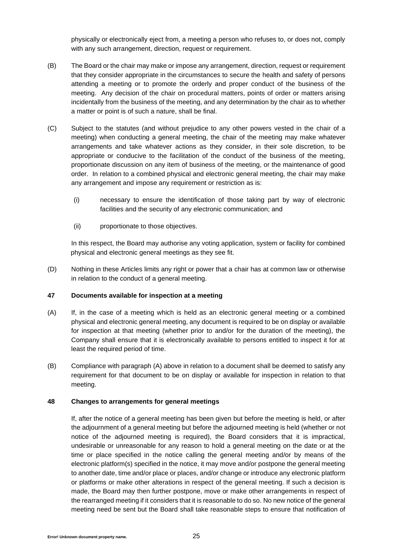physically or electronically eject from, a meeting a person who refuses to, or does not, comply with any such arrangement, direction, request or requirement.

- (B) The Board or the chair may make or impose any arrangement, direction, request or requirement that they consider appropriate in the circumstances to secure the health and safety of persons attending a meeting or to promote the orderly and proper conduct of the business of the meeting. Any decision of the chair on procedural matters, points of order or matters arising incidentally from the business of the meeting, and any determination by the chair as to whether a matter or point is of such a nature, shall be final.
- (C) Subject to the statutes (and without prejudice to any other powers vested in the chair of a meeting) when conducting a general meeting, the chair of the meeting may make whatever arrangements and take whatever actions as they consider, in their sole discretion, to be appropriate or conducive to the facilitation of the conduct of the business of the meeting, proportionate discussion on any item of business of the meeting, or the maintenance of good order. In relation to a combined physical and electronic general meeting, the chair may make any arrangement and impose any requirement or restriction as is:
	- (i) necessary to ensure the identification of those taking part by way of electronic facilities and the security of any electronic communication; and
	- (ii) proportionate to those objectives.

In this respect, the Board may authorise any voting application, system or facility for combined physical and electronic general meetings as they see fit.

(D) Nothing in these Articles limits any right or power that a chair has at common law or otherwise in relation to the conduct of a general meeting.

# **47 Documents available for inspection at a meeting**

- <span id="page-24-0"></span>(A) If, in the case of a meeting which is held as an electronic general meeting or a combined physical and electronic general meeting, any document is required to be on display or available for inspection at that meeting (whether prior to and/or for the duration of the meeting), the Company shall ensure that it is electronically available to persons entitled to inspect it for at least the required period of time.
- (B) Compliance with paragraph [\(A\)](#page-24-0) above in relation to a document shall be deemed to satisfy any requirement for that document to be on display or available for inspection in relation to that meeting.

## <span id="page-24-1"></span>**48 Changes to arrangements for general meetings**

If, after the notice of a general meeting has been given but before the meeting is held, or after the adjournment of a general meeting but before the adjourned meeting is held (whether or not notice of the adjourned meeting is required), the Board considers that it is impractical, undesirable or unreasonable for any reason to hold a general meeting on the date or at the time or place specified in the notice calling the general meeting and/or by means of the electronic platform(s) specified in the notice, it may move and/or postpone the general meeting to another date, time and/or place or places, and/or change or introduce any electronic platform or platforms or make other alterations in respect of the general meeting. If such a decision is made, the Board may then further postpone, move or make other arrangements in respect of the rearranged meeting if it considers that it is reasonable to do so. No new notice of the general meeting need be sent but the Board shall take reasonable steps to ensure that notification of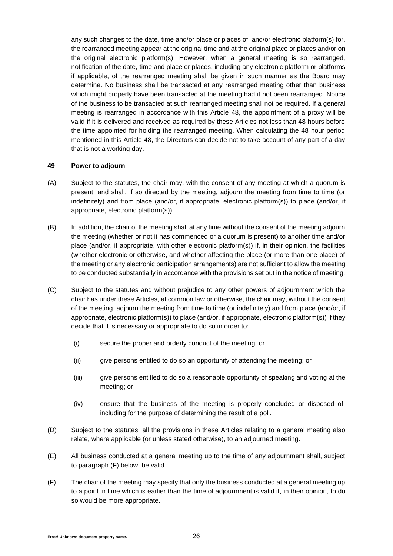any such changes to the date, time and/or place or places of, and/or electronic platform(s) for, the rearranged meeting appear at the original time and at the original place or places and/or on the original electronic platform(s). However, when a general meeting is so rearranged, notification of the date, time and place or places, including any electronic platform or platforms if applicable, of the rearranged meeting shall be given in such manner as the Board may determine. No business shall be transacted at any rearranged meeting other than business which might properly have been transacted at the meeting had it not been rearranged. Notice of the business to be transacted at such rearranged meeting shall not be required. If a general meeting is rearranged in accordance with this Article [48,](#page-24-1) the appointment of a proxy will be valid if it is delivered and received as required by these Articles not less than 48 hours before the time appointed for holding the rearranged meeting. When calculating the 48 hour period mentioned in this Article [48,](#page-24-1) the Directors can decide not to take account of any part of a day that is not a working day.

### <span id="page-25-0"></span>**49 Power to adjourn**

- (A) Subject to the statutes, the chair may, with the consent of any meeting at which a quorum is present, and shall, if so directed by the meeting, adjourn the meeting from time to time (or indefinitely) and from place (and/or, if appropriate, electronic platform(s)) to place (and/or, if appropriate, electronic platform(s)).
- (B) In addition, the chair of the meeting shall at any time without the consent of the meeting adjourn the meeting (whether or not it has commenced or a quorum is present) to another time and/or place (and/or, if appropriate, with other electronic platform(s)) if, in their opinion, the facilities (whether electronic or otherwise, and whether affecting the place (or more than one place) of the meeting or any electronic participation arrangements) are not sufficient to allow the meeting to be conducted substantially in accordance with the provisions set out in the notice of meeting.
- (C) Subject to the statutes and without prejudice to any other powers of adjournment which the chair has under these Articles, at common law or otherwise, the chair may, without the consent of the meeting, adjourn the meeting from time to time (or indefinitely) and from place (and/or, if appropriate, electronic platform(s)) to place (and/or, if appropriate, electronic platform(s)) if they decide that it is necessary or appropriate to do so in order to:
	- (i) secure the proper and orderly conduct of the meeting; or
	- (ii) give persons entitled to do so an opportunity of attending the meeting; or
	- (iii) give persons entitled to do so a reasonable opportunity of speaking and voting at the meeting; or
	- (iv) ensure that the business of the meeting is properly concluded or disposed of, including for the purpose of determining the result of a poll.
- (D) Subject to the statutes, all the provisions in these Articles relating to a general meeting also relate, where applicable (or unless stated otherwise), to an adjourned meeting.
- (E) All business conducted at a general meeting up to the time of any adjournment shall, subject to paragraph [\(F\)](#page-25-1) below, be valid.
- <span id="page-25-1"></span>(F) The chair of the meeting may specify that only the business conducted at a general meeting up to a point in time which is earlier than the time of adjournment is valid if, in their opinion, to do so would be more appropriate.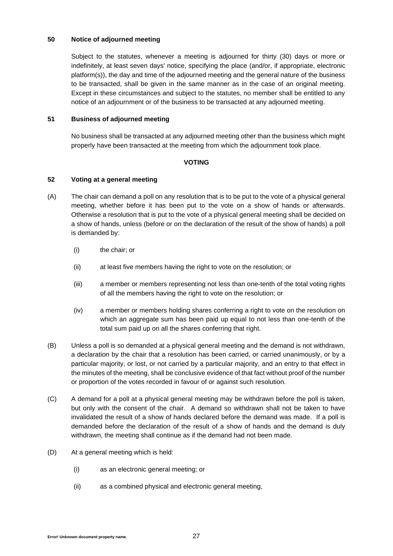## **50 Notice of adjourned meeting**

Subject to the statutes, whenever a meeting is adjourned for thirty (30) days or more or indefinitely, at least seven days' notice, specifying the place (and/or, if appropriate, electronic platform(s)), the day and time of the adjourned meeting and the general nature of the business to be transacted, shall be given in the same manner as in the case of an original meeting. Except in these circumstances and subject to the statutes, no member shall be entitled to any notice of an adjournment or of the business to be transacted at any adjourned meeting.

# <span id="page-26-0"></span>**51 Business of adjourned meeting**

No business shall be transacted at any adjourned meeting other than the business which might properly have been transacted at the meeting from which the adjournment took place.

# **VOTING**

### **52 Voting at a general meeting**

- (A) The chair can demand a poll on any resolution that is to be put to the vote of a physical general meeting, whether before it has been put to the vote on a show of hands or afterwards. Otherwise a resolution that is put to the vote of a physical general meeting shall be decided on a show of hands, unless (before or on the declaration of the result of the show of hands) a poll is demanded by:
	- (i) the chair; or
	- (ii) at least five members having the right to vote on the resolution; or
	- (iii) a member or members representing not less than one-tenth of the total voting rights of all the members having the right to vote on the resolution; or
	- (iv) a member or members holding shares conferring a right to vote on the resolution on which an aggregate sum has been paid up equal to not less than one-tenth of the total sum paid up on all the shares conferring that right.
- (B) Unless a poll is so demanded at a physical general meeting and the demand is not withdrawn, a declaration by the chair that a resolution has been carried, or carried unanimously, or by a particular majority, or lost, or not carried by a particular majority, and an entry to that effect in the minutes of the meeting, shall be conclusive evidence of that fact without proof of the number or proportion of the votes recorded in favour of or against such resolution.
- (C) A demand for a poll at a physical general meeting may be withdrawn before the poll is taken, but only with the consent of the chair. A demand so withdrawn shall not be taken to have invalidated the result of a show of hands declared before the demand was made. If a poll is demanded before the declaration of the result of a show of hands and the demand is duly withdrawn, the meeting shall continue as if the demand had not been made.
- <span id="page-26-1"></span>(D) At a general meeting which is held:
	- (i) as an electronic general meeting; or
	- (ii) as a combined physical and electronic general meeting,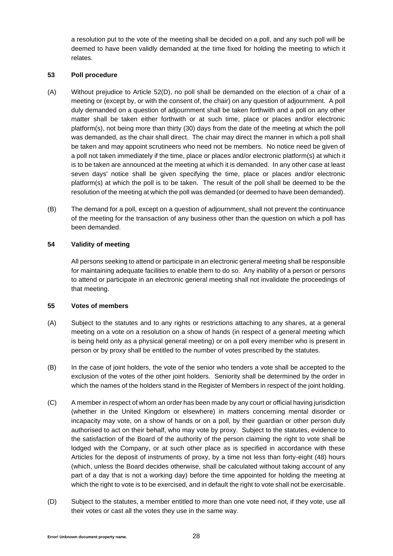a resolution put to the vote of the meeting shall be decided on a poll, and any such poll will be deemed to have been validly demanded at the time fixed for holding the meeting to which it relates.

## **53 Poll procedure**

- (A) Without prejudice to Article [52\(D\),](#page-26-1) no poll shall be demanded on the election of a chair of a meeting or (except by, or with the consent of, the chair) on any question of adjournment. A poll duly demanded on a question of adjournment shall be taken forthwith and a poll on any other matter shall be taken either forthwith or at such time, place or places and/or electronic platform(s), not being more than thirty (30) days from the date of the meeting at which the poll was demanded, as the chair shall direct. The chair may direct the manner in which a poll shall be taken and may appoint scrutineers who need not be members. No notice need be given of a poll not taken immediately if the time, place or places and/or electronic platform(s) at which it is to be taken are announced at the meeting at which it is demanded. In any other case at least seven days' notice shall be given specifying the time, place or places and/or electronic platform(s) at which the poll is to be taken. The result of the poll shall be deemed to be the resolution of the meeting at which the poll was demanded (or deemed to have been demanded).
- (B) The demand for a poll, except on a question of adjournment, shall not prevent the continuance of the meeting for the transaction of any business other than the question on which a poll has been demanded.

# **54 Validity of meeting**

All persons seeking to attend or participate in an electronic general meeting shall be responsible for maintaining adequate facilities to enable them to do so. Any inability of a person or persons to attend or participate in an electronic general meeting shall not invalidate the proceedings of that meeting.

# **55 Votes of members**

- (A) Subject to the statutes and to any rights or restrictions attaching to any shares, at a general meeting on a vote on a resolution on a show of hands (in respect of a general meeting which is being held only as a physical general meeting) or on a poll every member who is present in person or by proxy shall be entitled to the number of votes prescribed by the statutes.
- (B) In the case of joint holders, the vote of the senior who tenders a vote shall be accepted to the exclusion of the votes of the other joint holders. Seniority shall be determined by the order in which the names of the holders stand in the Register of Members in respect of the joint holding.
- (C) A member in respect of whom an order has been made by any court or official having jurisdiction (whether in the United Kingdom or elsewhere) in matters concerning mental disorder or incapacity may vote, on a show of hands or on a poll, by their guardian or other person duly authorised to act on their behalf, who may vote by proxy. Subject to the statutes, evidence to the satisfaction of the Board of the authority of the person claiming the right to vote shall be lodged with the Company, or at such other place as is specified in accordance with these Articles for the deposit of instruments of proxy, by a time not less than forty-eight (48) hours (which, unless the Board decides otherwise, shall be calculated without taking account of any part of a day that is not a working day) before the time appointed for holding the meeting at which the right to vote is to be exercised, and in default the right to vote shall not be exercisable.
- (D) Subject to the statutes, a member entitled to more than one vote need not, if they vote, use all their votes or cast all the votes they use in the same way.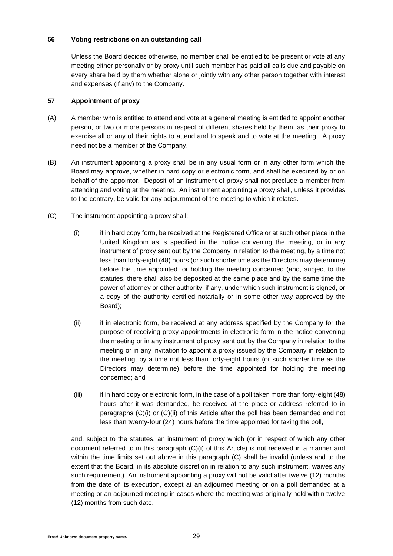## **56 Voting restrictions on an outstanding call**

Unless the Board decides otherwise, no member shall be entitled to be present or vote at any meeting either personally or by proxy until such member has paid all calls due and payable on every share held by them whether alone or jointly with any other person together with interest and expenses (if any) to the Company.

# **57 Appointment of proxy**

- (A) A member who is entitled to attend and vote at a general meeting is entitled to appoint another person, or two or more persons in respect of different shares held by them, as their proxy to exercise all or any of their rights to attend and to speak and to vote at the meeting. A proxy need not be a member of the Company.
- (B) An instrument appointing a proxy shall be in any usual form or in any other form which the Board may approve, whether in hard copy or electronic form, and shall be executed by or on behalf of the appointor. Deposit of an instrument of proxy shall not preclude a member from attending and voting at the meeting. An instrument appointing a proxy shall, unless it provides to the contrary, be valid for any adjournment of the meeting to which it relates.
- <span id="page-28-2"></span><span id="page-28-1"></span><span id="page-28-0"></span>(C) The instrument appointing a proxy shall:
	- (i) if in hard copy form, be received at the Registered Office or at such other place in the United Kingdom as is specified in the notice convening the meeting, or in any instrument of proxy sent out by the Company in relation to the meeting, by a time not less than forty-eight (48) hours (or such shorter time as the Directors may determine) before the time appointed for holding the meeting concerned (and, subject to the statutes, there shall also be deposited at the same place and by the same time the power of attorney or other authority, if any, under which such instrument is signed, or a copy of the authority certified notarially or in some other way approved by the Board);
	- (ii) if in electronic form, be received at any address specified by the Company for the purpose of receiving proxy appointments in electronic form in the notice convening the meeting or in any instrument of proxy sent out by the Company in relation to the meeting or in any invitation to appoint a proxy issued by the Company in relation to the meeting, by a time not less than forty-eight hours (or such shorter time as the Directors may determine) before the time appointed for holding the meeting concerned; and
	- (iii) if in hard copy or electronic form, in the case of a poll taken more than forty-eight (48) hours after it was demanded, be received at the place or address referred to in paragraphs [\(C\)](#page-28-0)[\(i\)](#page-28-1) or [\(C\)](#page-28-0)[\(ii\)](#page-28-2) of this Article after the poll has been demanded and not less than twenty-four (24) hours before the time appointed for taking the poll,

and, subject to the statutes, an instrument of proxy which (or in respect of which any other document referred to in this paragraph [\(C\)](#page-28-0)[\(i\)](#page-28-1) of this Article) is not received in a manner and within the time limits set out above in this paragraph [\(C\)](#page-28-0) shall be invalid (unless and to the extent that the Board, in its absolute discretion in relation to any such instrument, waives any such requirement). An instrument appointing a proxy will not be valid after twelve (12) months from the date of its execution, except at an adjourned meeting or on a poll demanded at a meeting or an adjourned meeting in cases where the meeting was originally held within twelve (12) months from such date.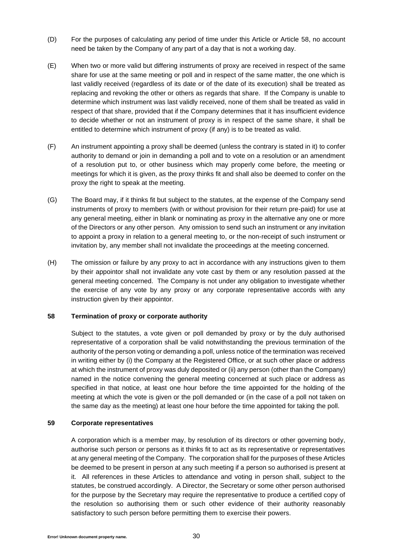- (D) For the purposes of calculating any period of time under this Article or Article [58,](#page-29-0) no account need be taken by the Company of any part of a day that is not a working day.
- (E) When two or more valid but differing instruments of proxy are received in respect of the same share for use at the same meeting or poll and in respect of the same matter, the one which is last validly received (regardless of its date or of the date of its execution) shall be treated as replacing and revoking the other or others as regards that share. If the Company is unable to determine which instrument was last validly received, none of them shall be treated as valid in respect of that share, provided that if the Company determines that it has insufficient evidence to decide whether or not an instrument of proxy is in respect of the same share, it shall be entitled to determine which instrument of proxy (if any) is to be treated as valid.
- (F) An instrument appointing a proxy shall be deemed (unless the contrary is stated in it) to confer authority to demand or join in demanding a poll and to vote on a resolution or an amendment of a resolution put to, or other business which may properly come before, the meeting or meetings for which it is given, as the proxy thinks fit and shall also be deemed to confer on the proxy the right to speak at the meeting.
- (G) The Board may, if it thinks fit but subject to the statutes, at the expense of the Company send instruments of proxy to members (with or without provision for their return pre-paid) for use at any general meeting, either in blank or nominating as proxy in the alternative any one or more of the Directors or any other person. Any omission to send such an instrument or any invitation to appoint a proxy in relation to a general meeting to, or the non-receipt of such instrument or invitation by, any member shall not invalidate the proceedings at the meeting concerned.
- (H) The omission or failure by any proxy to act in accordance with any instructions given to them by their appointor shall not invalidate any vote cast by them or any resolution passed at the general meeting concerned. The Company is not under any obligation to investigate whether the exercise of any vote by any proxy or any corporate representative accords with any instruction given by their appointor.

# <span id="page-29-0"></span>**58 Termination of proxy or corporate authority**

Subject to the statutes, a vote given or poll demanded by proxy or by the duly authorised representative of a corporation shall be valid notwithstanding the previous termination of the authority of the person voting or demanding a poll, unless notice of the termination was received in writing either by (i) the Company at the Registered Office, or at such other place or address at which the instrument of proxy was duly deposited or (ii) any person (other than the Company) named in the notice convening the general meeting concerned at such place or address as specified in that notice, at least one hour before the time appointed for the holding of the meeting at which the vote is given or the poll demanded or (in the case of a poll not taken on the same day as the meeting) at least one hour before the time appointed for taking the poll.

# **59 Corporate representatives**

A corporation which is a member may, by resolution of its directors or other governing body, authorise such person or persons as it thinks fit to act as its representative or representatives at any general meeting of the Company. The corporation shall for the purposes of these Articles be deemed to be present in person at any such meeting if a person so authorised is present at it. All references in these Articles to attendance and voting in person shall, subject to the statutes, be construed accordingly. A Director, the Secretary or some other person authorised for the purpose by the Secretary may require the representative to produce a certified copy of the resolution so authorising them or such other evidence of their authority reasonably satisfactory to such person before permitting them to exercise their powers.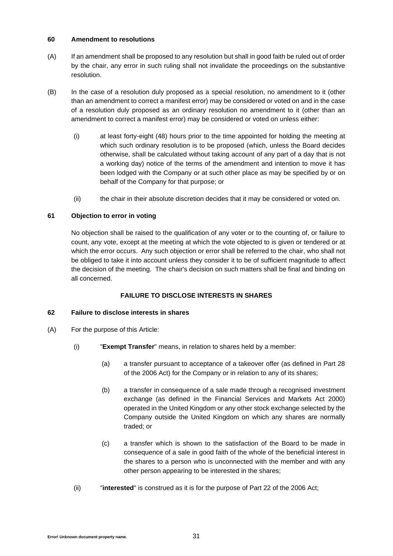## **60 Amendment to resolutions**

- (A) If an amendment shall be proposed to any resolution but shall in good faith be ruled out of order by the chair, any error in such ruling shall not invalidate the proceedings on the substantive resolution.
- (B) In the case of a resolution duly proposed as a special resolution, no amendment to it (other than an amendment to correct a manifest error) may be considered or voted on and in the case of a resolution duly proposed as an ordinary resolution no amendment to it (other than an amendment to correct a manifest error) may be considered or voted on unless either:
	- (i) at least forty-eight (48) hours prior to the time appointed for holding the meeting at which such ordinary resolution is to be proposed (which, unless the Board decides otherwise, shall be calculated without taking account of any part of a day that is not a working day) notice of the terms of the amendment and intention to move it has been lodged with the Company or at such other place as may be specified by or on behalf of the Company for that purpose; or
	- (ii) the chair in their absolute discretion decides that it may be considered or voted on.

# **61 Objection to error in voting**

No objection shall be raised to the qualification of any voter or to the counting of, or failure to count, any vote, except at the meeting at which the vote objected to is given or tendered or at which the error occurs. Any such objection or error shall be referred to the chair, who shall not be obliged to take it into account unless they consider it to be of sufficient magnitude to affect the decision of the meeting. The chair's decision on such matters shall be final and binding on all concerned.

# **FAILURE TO DISCLOSE INTERESTS IN SHARES**

### **62 Failure to disclose interests in shares**

- (A) For the purpose of this Article:
	- (i) "**Exempt Transfer**" means, in relation to shares held by a member:
		- (a) a transfer pursuant to acceptance of a takeover offer (as defined in Part 28 of the 2006 Act) for the Company or in relation to any of its shares;
		- (b) a transfer in consequence of a sale made through a recognised investment exchange (as defined in the Financial Services and Markets Act 2000) operated in the United Kingdom or any other stock exchange selected by the Company outside the United Kingdom on which any shares are normally traded; or
		- (c) a transfer which is shown to the satisfaction of the Board to be made in consequence of a sale in good faith of the whole of the beneficial interest in the shares to a person who is unconnected with the member and with any other person appearing to be interested in the shares;
	- (ii) "**interested**" is construed as it is for the purpose of Part 22 of the 2006 Act;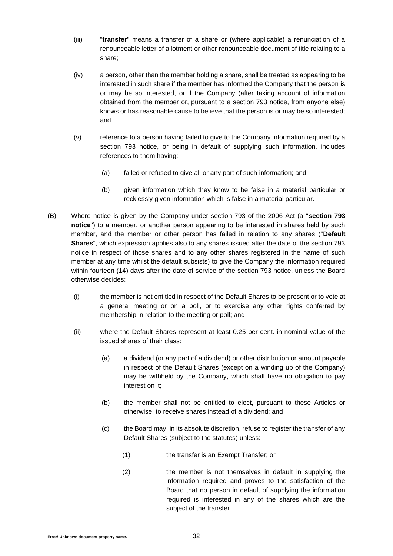- (iii) "**transfer**" means a transfer of a share or (where applicable) a renunciation of a renounceable letter of allotment or other renounceable document of title relating to a share;
- (iv) a person, other than the member holding a share, shall be treated as appearing to be interested in such share if the member has informed the Company that the person is or may be so interested, or if the Company (after taking account of information obtained from the member or, pursuant to a section 793 notice, from anyone else) knows or has reasonable cause to believe that the person is or may be so interested; and
- (v) reference to a person having failed to give to the Company information required by a section 793 notice, or being in default of supplying such information, includes references to them having:
	- (a) failed or refused to give all or any part of such information; and
	- (b) given information which they know to be false in a material particular or recklessly given information which is false in a material particular.
- <span id="page-31-0"></span>(B) Where notice is given by the Company under section 793 of the 2006 Act (a "**section 793 notice**") to a member, or another person appearing to be interested in shares held by such member, and the member or other person has failed in relation to any shares ("**Default Shares**", which expression applies also to any shares issued after the date of the section 793 notice in respect of those shares and to any other shares registered in the name of such member at any time whilst the default subsists) to give the Company the information required within fourteen (14) days after the date of service of the section 793 notice, unless the Board otherwise decides:
	- (i) the member is not entitled in respect of the Default Shares to be present or to vote at a general meeting or on a poll, or to exercise any other rights conferred by membership in relation to the meeting or poll; and
	- (ii) where the Default Shares represent at least 0.25 per cent. in nominal value of the issued shares of their class:
		- (a) a dividend (or any part of a dividend) or other distribution or amount payable in respect of the Default Shares (except on a winding up of the Company) may be withheld by the Company, which shall have no obligation to pay interest on it;
		- (b) the member shall not be entitled to elect, pursuant to these Articles or otherwise, to receive shares instead of a dividend; and
		- (c) the Board may, in its absolute discretion, refuse to register the transfer of any Default Shares (subject to the statutes) unless:
			- (1) the transfer is an Exempt Transfer; or
			- (2) the member is not themselves in default in supplying the information required and proves to the satisfaction of the Board that no person in default of supplying the information required is interested in any of the shares which are the subject of the transfer.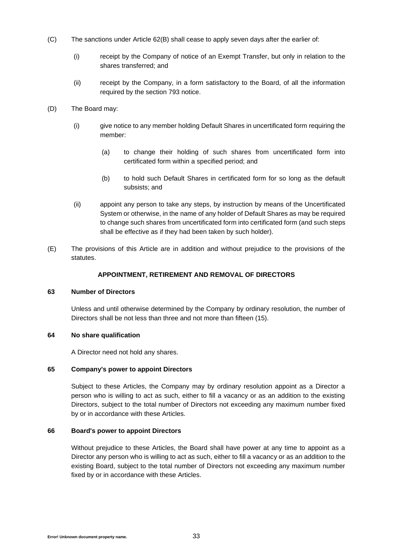- (C) The sanctions under Article [62\(B\)](#page-31-0) shall cease to apply seven days after the earlier of:
	- (i) receipt by the Company of notice of an Exempt Transfer, but only in relation to the shares transferred; and
	- (ii) receipt by the Company, in a form satisfactory to the Board, of all the information required by the section 793 notice.
- (D) The Board may:
	- (i) give notice to any member holding Default Shares in uncertificated form requiring the member:
		- (a) to change their holding of such shares from uncertificated form into certificated form within a specified period; and
		- (b) to hold such Default Shares in certificated form for so long as the default subsists; and
	- (ii) appoint any person to take any steps, by instruction by means of the Uncertificated System or otherwise, in the name of any holder of Default Shares as may be required to change such shares from uncertificated form into certificated form (and such steps shall be effective as if they had been taken by such holder).
- (E) The provisions of this Article are in addition and without prejudice to the provisions of the statutes.

### **APPOINTMENT, RETIREMENT AND REMOVAL OF DIRECTORS**

### **63 Number of Directors**

Unless and until otherwise determined by the Company by ordinary resolution, the number of Directors shall be not less than three and not more than fifteen (15).

### **64 No share qualification**

A Director need not hold any shares.

### **65 Company's power to appoint Directors**

Subject to these Articles, the Company may by ordinary resolution appoint as a Director a person who is willing to act as such, either to fill a vacancy or as an addition to the existing Directors, subject to the total number of Directors not exceeding any maximum number fixed by or in accordance with these Articles.

# **66 Board's power to appoint Directors**

Without prejudice to these Articles, the Board shall have power at any time to appoint as a Director any person who is willing to act as such, either to fill a vacancy or as an addition to the existing Board, subject to the total number of Directors not exceeding any maximum number fixed by or in accordance with these Articles.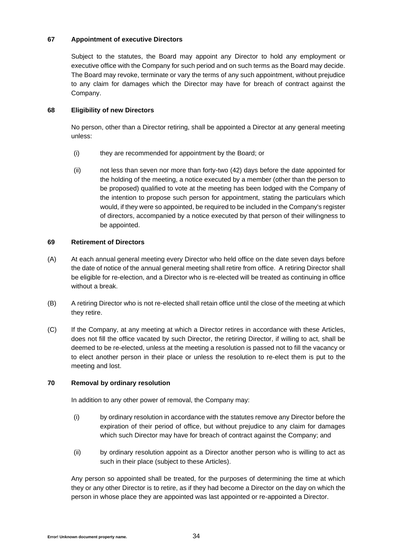## **67 Appointment of executive Directors**

Subject to the statutes, the Board may appoint any Director to hold any employment or executive office with the Company for such period and on such terms as the Board may decide. The Board may revoke, terminate or vary the terms of any such appointment, without prejudice to any claim for damages which the Director may have for breach of contract against the Company.

### **68 Eligibility of new Directors**

No person, other than a Director retiring, shall be appointed a Director at any general meeting unless:

- (i) they are recommended for appointment by the Board; or
- (ii) not less than seven nor more than forty-two (42) days before the date appointed for the holding of the meeting, a notice executed by a member (other than the person to be proposed) qualified to vote at the meeting has been lodged with the Company of the intention to propose such person for appointment, stating the particulars which would, if they were so appointed, be required to be included in the Company's register of directors, accompanied by a notice executed by that person of their willingness to be appointed.

## **69 Retirement of Directors**

- (A) At each annual general meeting every Director who held office on the date seven days before the date of notice of the annual general meeting shall retire from office. A retiring Director shall be eligible for re-election, and a Director who is re-elected will be treated as continuing in office without a break.
- (B) A retiring Director who is not re-elected shall retain office until the close of the meeting at which they retire.
- (C) If the Company, at any meeting at which a Director retires in accordance with these Articles, does not fill the office vacated by such Director, the retiring Director, if willing to act, shall be deemed to be re-elected, unless at the meeting a resolution is passed not to fill the vacancy or to elect another person in their place or unless the resolution to re-elect them is put to the meeting and lost.

### **70 Removal by ordinary resolution**

In addition to any other power of removal, the Company may:

- (i) by ordinary resolution in accordance with the statutes remove any Director before the expiration of their period of office, but without prejudice to any claim for damages which such Director may have for breach of contract against the Company; and
- (ii) by ordinary resolution appoint as a Director another person who is willing to act as such in their place (subject to these Articles).

Any person so appointed shall be treated, for the purposes of determining the time at which they or any other Director is to retire, as if they had become a Director on the day on which the person in whose place they are appointed was last appointed or re-appointed a Director.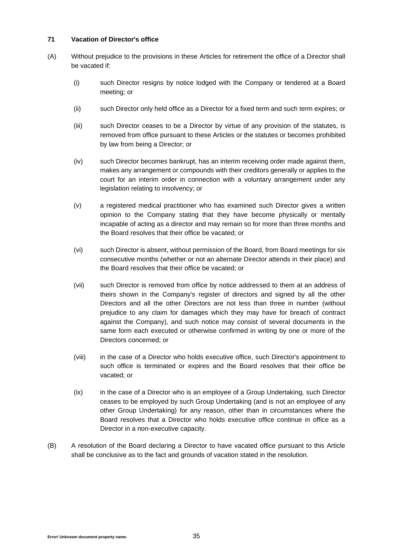## **71 Vacation of Director's office**

- (A) Without prejudice to the provisions in these Articles for retirement the office of a Director shall be vacated if:
	- (i) such Director resigns by notice lodged with the Company or tendered at a Board meeting; or
	- (ii) such Director only held office as a Director for a fixed term and such term expires; or
	- (iii) such Director ceases to be a Director by virtue of any provision of the statutes, is removed from office pursuant to these Articles or the statutes or becomes prohibited by law from being a Director; or
	- (iv) such Director becomes bankrupt, has an interim receiving order made against them, makes any arrangement or compounds with their creditors generally or applies to the court for an interim order in connection with a voluntary arrangement under any legislation relating to insolvency; or
	- (v) a registered medical practitioner who has examined such Director gives a written opinion to the Company stating that they have become physically or mentally incapable of acting as a director and may remain so for more than three months and the Board resolves that their office be vacated; or
	- (vi) such Director is absent, without permission of the Board, from Board meetings for six consecutive months (whether or not an alternate Director attends in their place) and the Board resolves that their office be vacated; or
	- (vii) such Director is removed from office by notice addressed to them at an address of theirs shown in the Company's register of directors and signed by all the other Directors and all the other Directors are not less than three in number (without prejudice to any claim for damages which they may have for breach of contract against the Company), and such notice may consist of several documents in the same form each executed or otherwise confirmed in writing by one or more of the Directors concerned; or
	- (viii) in the case of a Director who holds executive office, such Director's appointment to such office is terminated or expires and the Board resolves that their office be vacated; or
	- (ix) in the case of a Director who is an employee of a Group Undertaking, such Director ceases to be employed by such Group Undertaking (and is not an employee of any other Group Undertaking) for any reason, other than in circumstances where the Board resolves that a Director who holds executive office continue in office as a Director in a non-executive capacity.
- (B) A resolution of the Board declaring a Director to have vacated office pursuant to this Article shall be conclusive as to the fact and grounds of vacation stated in the resolution.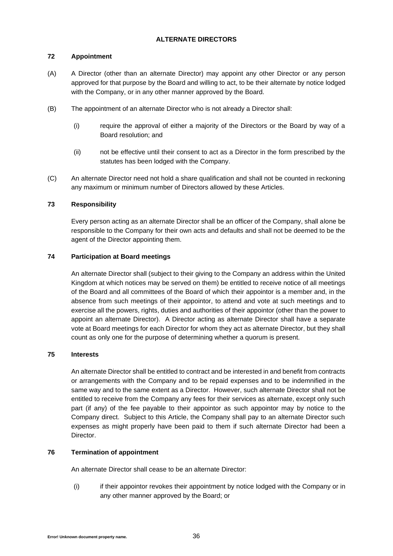# **ALTERNATE DIRECTORS**

# **72 Appointment**

- (A) A Director (other than an alternate Director) may appoint any other Director or any person approved for that purpose by the Board and willing to act, to be their alternate by notice lodged with the Company, or in any other manner approved by the Board.
- (B) The appointment of an alternate Director who is not already a Director shall:
	- (i) require the approval of either a majority of the Directors or the Board by way of a Board resolution; and
	- (ii) not be effective until their consent to act as a Director in the form prescribed by the statutes has been lodged with the Company.
- (C) An alternate Director need not hold a share qualification and shall not be counted in reckoning any maximum or minimum number of Directors allowed by these Articles.

# **73 Responsibility**

Every person acting as an alternate Director shall be an officer of the Company, shall alone be responsible to the Company for their own acts and defaults and shall not be deemed to be the agent of the Director appointing them.

# **74 Participation at Board meetings**

An alternate Director shall (subject to their giving to the Company an address within the United Kingdom at which notices may be served on them) be entitled to receive notice of all meetings of the Board and all committees of the Board of which their appointor is a member and, in the absence from such meetings of their appointor, to attend and vote at such meetings and to exercise all the powers, rights, duties and authorities of their appointor (other than the power to appoint an alternate Director). A Director acting as alternate Director shall have a separate vote at Board meetings for each Director for whom they act as alternate Director, but they shall count as only one for the purpose of determining whether a quorum is present.

# **75 Interests**

An alternate Director shall be entitled to contract and be interested in and benefit from contracts or arrangements with the Company and to be repaid expenses and to be indemnified in the same way and to the same extent as a Director. However, such alternate Director shall not be entitled to receive from the Company any fees for their services as alternate, except only such part (if any) of the fee payable to their appointor as such appointor may by notice to the Company direct. Subject to this Article, the Company shall pay to an alternate Director such expenses as might properly have been paid to them if such alternate Director had been a Director.

# **76 Termination of appointment**

An alternate Director shall cease to be an alternate Director:

(i) if their appointor revokes their appointment by notice lodged with the Company or in any other manner approved by the Board; or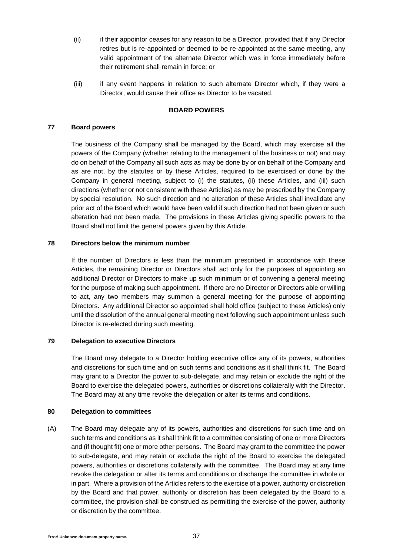- (ii) if their appointor ceases for any reason to be a Director, provided that if any Director retires but is re-appointed or deemed to be re-appointed at the same meeting, any valid appointment of the alternate Director which was in force immediately before their retirement shall remain in force; or
- (iii) if any event happens in relation to such alternate Director which, if they were a Director, would cause their office as Director to be vacated.

### **BOARD POWERS**

### **77 Board powers**

The business of the Company shall be managed by the Board, which may exercise all the powers of the Company (whether relating to the management of the business or not) and may do on behalf of the Company all such acts as may be done by or on behalf of the Company and as are not, by the statutes or by these Articles, required to be exercised or done by the Company in general meeting, subject to (i) the statutes, (ii) these Articles, and (iii) such directions (whether or not consistent with these Articles) as may be prescribed by the Company by special resolution. No such direction and no alteration of these Articles shall invalidate any prior act of the Board which would have been valid if such direction had not been given or such alteration had not been made. The provisions in these Articles giving specific powers to the Board shall not limit the general powers given by this Article.

### **78 Directors below the minimum number**

If the number of Directors is less than the minimum prescribed in accordance with these Articles, the remaining Director or Directors shall act only for the purposes of appointing an additional Director or Directors to make up such minimum or of convening a general meeting for the purpose of making such appointment. If there are no Director or Directors able or willing to act, any two members may summon a general meeting for the purpose of appointing Directors. Any additional Director so appointed shall hold office (subject to these Articles) only until the dissolution of the annual general meeting next following such appointment unless such Director is re-elected during such meeting.

### **79 Delegation to executive Directors**

The Board may delegate to a Director holding executive office any of its powers, authorities and discretions for such time and on such terms and conditions as it shall think fit. The Board may grant to a Director the power to sub-delegate, and may retain or exclude the right of the Board to exercise the delegated powers, authorities or discretions collaterally with the Director. The Board may at any time revoke the delegation or alter its terms and conditions.

# **80 Delegation to committees**

(A) The Board may delegate any of its powers, authorities and discretions for such time and on such terms and conditions as it shall think fit to a committee consisting of one or more Directors and (if thought fit) one or more other persons. The Board may grant to the committee the power to sub-delegate, and may retain or exclude the right of the Board to exercise the delegated powers, authorities or discretions collaterally with the committee. The Board may at any time revoke the delegation or alter its terms and conditions or discharge the committee in whole or in part. Where a provision of the Articles refers to the exercise of a power, authority or discretion by the Board and that power, authority or discretion has been delegated by the Board to a committee, the provision shall be construed as permitting the exercise of the power, authority or discretion by the committee.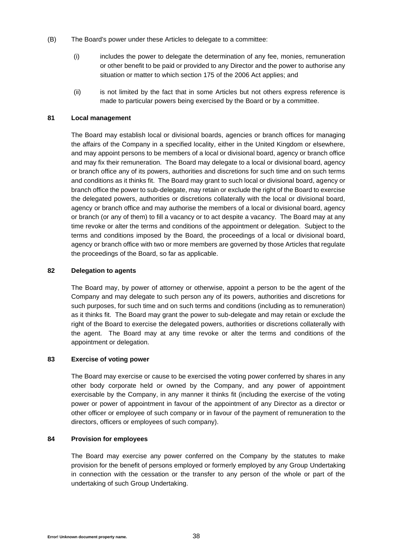- (B) The Board's power under these Articles to delegate to a committee:
	- (i) includes the power to delegate the determination of any fee, monies, remuneration or other benefit to be paid or provided to any Director and the power to authorise any situation or matter to which section 175 of the 2006 Act applies; and
	- (ii) is not limited by the fact that in some Articles but not others express reference is made to particular powers being exercised by the Board or by a committee.

### **81 Local management**

The Board may establish local or divisional boards, agencies or branch offices for managing the affairs of the Company in a specified locality, either in the United Kingdom or elsewhere, and may appoint persons to be members of a local or divisional board, agency or branch office and may fix their remuneration. The Board may delegate to a local or divisional board, agency or branch office any of its powers, authorities and discretions for such time and on such terms and conditions as it thinks fit. The Board may grant to such local or divisional board, agency or branch office the power to sub-delegate, may retain or exclude the right of the Board to exercise the delegated powers, authorities or discretions collaterally with the local or divisional board, agency or branch office and may authorise the members of a local or divisional board, agency or branch (or any of them) to fill a vacancy or to act despite a vacancy. The Board may at any time revoke or alter the terms and conditions of the appointment or delegation. Subject to the terms and conditions imposed by the Board, the proceedings of a local or divisional board, agency or branch office with two or more members are governed by those Articles that regulate the proceedings of the Board, so far as applicable.

# **82 Delegation to agents**

The Board may, by power of attorney or otherwise, appoint a person to be the agent of the Company and may delegate to such person any of its powers, authorities and discretions for such purposes, for such time and on such terms and conditions (including as to remuneration) as it thinks fit. The Board may grant the power to sub-delegate and may retain or exclude the right of the Board to exercise the delegated powers, authorities or discretions collaterally with the agent. The Board may at any time revoke or alter the terms and conditions of the appointment or delegation.

## **83 Exercise of voting power**

The Board may exercise or cause to be exercised the voting power conferred by shares in any other body corporate held or owned by the Company, and any power of appointment exercisable by the Company, in any manner it thinks fit (including the exercise of the voting power or power of appointment in favour of the appointment of any Director as a director or other officer or employee of such company or in favour of the payment of remuneration to the directors, officers or employees of such company).

### **84 Provision for employees**

The Board may exercise any power conferred on the Company by the statutes to make provision for the benefit of persons employed or formerly employed by any Group Undertaking in connection with the cessation or the transfer to any person of the whole or part of the undertaking of such Group Undertaking.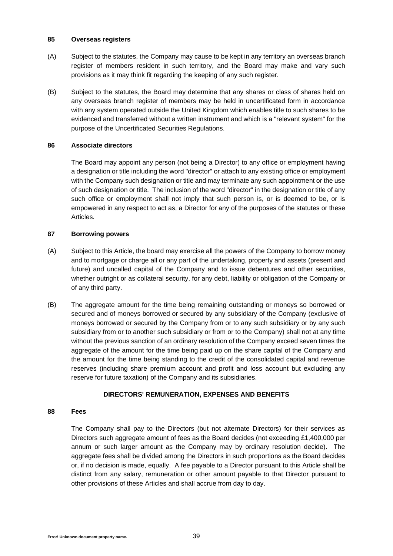### **85 Overseas registers**

- (A) Subject to the statutes, the Company may cause to be kept in any territory an overseas branch register of members resident in such territory, and the Board may make and vary such provisions as it may think fit regarding the keeping of any such register.
- (B) Subject to the statutes, the Board may determine that any shares or class of shares held on any overseas branch register of members may be held in uncertificated form in accordance with any system operated outside the United Kingdom which enables title to such shares to be evidenced and transferred without a written instrument and which is a "relevant system" for the purpose of the Uncertificated Securities Regulations.

# **86 Associate directors**

The Board may appoint any person (not being a Director) to any office or employment having a designation or title including the word "director" or attach to any existing office or employment with the Company such designation or title and may terminate any such appointment or the use of such designation or title. The inclusion of the word "director" in the designation or title of any such office or employment shall not imply that such person is, or is deemed to be, or is empowered in any respect to act as, a Director for any of the purposes of the statutes or these Articles.

# **87 Borrowing powers**

- (A) Subject to this Article, the board may exercise all the powers of the Company to borrow money and to mortgage or charge all or any part of the undertaking, property and assets (present and future) and uncalled capital of the Company and to issue debentures and other securities, whether outright or as collateral security, for any debt, liability or obligation of the Company or of any third party.
- (B) The aggregate amount for the time being remaining outstanding or moneys so borrowed or secured and of moneys borrowed or secured by any subsidiary of the Company (exclusive of moneys borrowed or secured by the Company from or to any such subsidiary or by any such subsidiary from or to another such subsidiary or from or to the Company) shall not at any time without the previous sanction of an ordinary resolution of the Company exceed seven times the aggregate of the amount for the time being paid up on the share capital of the Company and the amount for the time being standing to the credit of the consolidated capital and revenue reserves (including share premium account and profit and loss account but excluding any reserve for future taxation) of the Company and its subsidiaries.

# **DIRECTORS' REMUNERATION, EXPENSES AND BENEFITS**

### **88 Fees**

The Company shall pay to the Directors (but not alternate Directors) for their services as Directors such aggregate amount of fees as the Board decides (not exceeding £1,400,000 per annum or such larger amount as the Company may by ordinary resolution decide). The aggregate fees shall be divided among the Directors in such proportions as the Board decides or, if no decision is made, equally. A fee payable to a Director pursuant to this Article shall be distinct from any salary, remuneration or other amount payable to that Director pursuant to other provisions of these Articles and shall accrue from day to day.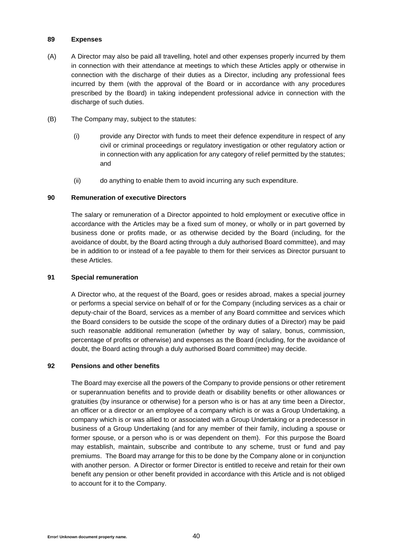### **89 Expenses**

- (A) A Director may also be paid all travelling, hotel and other expenses properly incurred by them in connection with their attendance at meetings to which these Articles apply or otherwise in connection with the discharge of their duties as a Director, including any professional fees incurred by them (with the approval of the Board or in accordance with any procedures prescribed by the Board) in taking independent professional advice in connection with the discharge of such duties.
- (B) The Company may, subject to the statutes:
	- (i) provide any Director with funds to meet their defence expenditure in respect of any civil or criminal proceedings or regulatory investigation or other regulatory action or in connection with any application for any category of relief permitted by the statutes; and
	- (ii) do anything to enable them to avoid incurring any such expenditure.

### **90 Remuneration of executive Directors**

The salary or remuneration of a Director appointed to hold employment or executive office in accordance with the Articles may be a fixed sum of money, or wholly or in part governed by business done or profits made, or as otherwise decided by the Board (including, for the avoidance of doubt, by the Board acting through a duly authorised Board committee), and may be in addition to or instead of a fee payable to them for their services as Director pursuant to these Articles.

### **91 Special remuneration**

A Director who, at the request of the Board, goes or resides abroad, makes a special journey or performs a special service on behalf of or for the Company (including services as a chair or deputy-chair of the Board, services as a member of any Board committee and services which the Board considers to be outside the scope of the ordinary duties of a Director) may be paid such reasonable additional remuneration (whether by way of salary, bonus, commission, percentage of profits or otherwise) and expenses as the Board (including, for the avoidance of doubt, the Board acting through a duly authorised Board committee) may decide.

### **92 Pensions and other benefits**

The Board may exercise all the powers of the Company to provide pensions or other retirement or superannuation benefits and to provide death or disability benefits or other allowances or gratuities (by insurance or otherwise) for a person who is or has at any time been a Director, an officer or a director or an employee of a company which is or was a Group Undertaking, a company which is or was allied to or associated with a Group Undertaking or a predecessor in business of a Group Undertaking (and for any member of their family, including a spouse or former spouse, or a person who is or was dependent on them). For this purpose the Board may establish, maintain, subscribe and contribute to any scheme, trust or fund and pay premiums. The Board may arrange for this to be done by the Company alone or in conjunction with another person. A Director or former Director is entitled to receive and retain for their own benefit any pension or other benefit provided in accordance with this Article and is not obliged to account for it to the Company.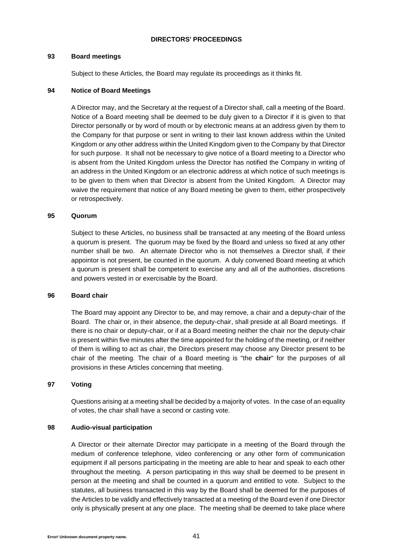### **DIRECTORS' PROCEEDINGS**

### **93 Board meetings**

Subject to these Articles, the Board may regulate its proceedings as it thinks fit.

## **94 Notice of Board Meetings**

A Director may, and the Secretary at the request of a Director shall, call a meeting of the Board. Notice of a Board meeting shall be deemed to be duly given to a Director if it is given to that Director personally or by word of mouth or by electronic means at an address given by them to the Company for that purpose or sent in writing to their last known address within the United Kingdom or any other address within the United Kingdom given to the Company by that Director for such purpose. It shall not be necessary to give notice of a Board meeting to a Director who is absent from the United Kingdom unless the Director has notified the Company in writing of an address in the United Kingdom or an electronic address at which notice of such meetings is to be given to them when that Director is absent from the United Kingdom. A Director may waive the requirement that notice of any Board meeting be given to them, either prospectively or retrospectively.

## **95 Quorum**

Subject to these Articles, no business shall be transacted at any meeting of the Board unless a quorum is present. The quorum may be fixed by the Board and unless so fixed at any other number shall be two. An alternate Director who is not themselves a Director shall, if their appointor is not present, be counted in the quorum. A duly convened Board meeting at which a quorum is present shall be competent to exercise any and all of the authorities, discretions and powers vested in or exercisable by the Board.

# **96 Board chair**

The Board may appoint any Director to be, and may remove, a chair and a deputy-chair of the Board. The chair or, in their absence, the deputy-chair, shall preside at all Board meetings. If there is no chair or deputy-chair, or if at a Board meeting neither the chair nor the deputy-chair is present within five minutes after the time appointed for the holding of the meeting, or if neither of them is willing to act as chair, the Directors present may choose any Director present to be chair of the meeting. The chair of a Board meeting is "the **chair**" for the purposes of all provisions in these Articles concerning that meeting.

# **97 Voting**

Questions arising at a meeting shall be decided by a majority of votes. In the case of an equality of votes, the chair shall have a second or casting vote.

# **98 Audio-visual participation**

A Director or their alternate Director may participate in a meeting of the Board through the medium of conference telephone, video conferencing or any other form of communication equipment if all persons participating in the meeting are able to hear and speak to each other throughout the meeting. A person participating in this way shall be deemed to be present in person at the meeting and shall be counted in a quorum and entitled to vote. Subject to the statutes, all business transacted in this way by the Board shall be deemed for the purposes of the Articles to be validly and effectively transacted at a meeting of the Board even if one Director only is physically present at any one place. The meeting shall be deemed to take place where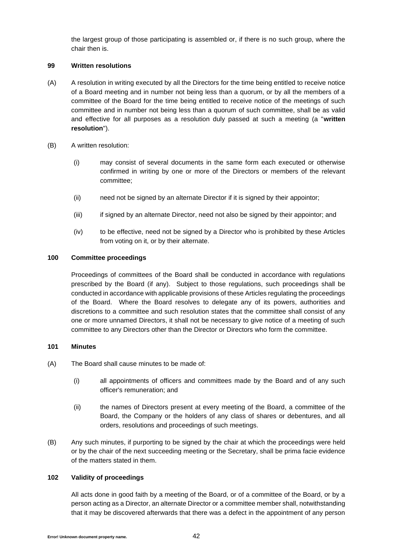the largest group of those participating is assembled or, if there is no such group, where the chair then is.

## **99 Written resolutions**

- (A) A resolution in writing executed by all the Directors for the time being entitled to receive notice of a Board meeting and in number not being less than a quorum, or by all the members of a committee of the Board for the time being entitled to receive notice of the meetings of such committee and in number not being less than a quorum of such committee, shall be as valid and effective for all purposes as a resolution duly passed at such a meeting (a "**written resolution**").
- (B) A written resolution:
	- (i) may consist of several documents in the same form each executed or otherwise confirmed in writing by one or more of the Directors or members of the relevant committee;
	- (ii) need not be signed by an alternate Director if it is signed by their appointor;
	- (iii) if signed by an alternate Director, need not also be signed by their appointor; and
	- (iv) to be effective, need not be signed by a Director who is prohibited by these Articles from voting on it, or by their alternate.

## **100 Committee proceedings**

Proceedings of committees of the Board shall be conducted in accordance with regulations prescribed by the Board (if any). Subject to those regulations, such proceedings shall be conducted in accordance with applicable provisions of these Articles regulating the proceedings of the Board. Where the Board resolves to delegate any of its powers, authorities and discretions to a committee and such resolution states that the committee shall consist of any one or more unnamed Directors, it shall not be necessary to give notice of a meeting of such committee to any Directors other than the Director or Directors who form the committee.

### **101 Minutes**

- (A) The Board shall cause minutes to be made of:
	- (i) all appointments of officers and committees made by the Board and of any such officer's remuneration; and
	- (ii) the names of Directors present at every meeting of the Board, a committee of the Board, the Company or the holders of any class of shares or debentures, and all orders, resolutions and proceedings of such meetings.
- (B) Any such minutes, if purporting to be signed by the chair at which the proceedings were held or by the chair of the next succeeding meeting or the Secretary, shall be prima facie evidence of the matters stated in them.

# **102 Validity of proceedings**

All acts done in good faith by a meeting of the Board, or of a committee of the Board, or by a person acting as a Director, an alternate Director or a committee member shall, notwithstanding that it may be discovered afterwards that there was a defect in the appointment of any person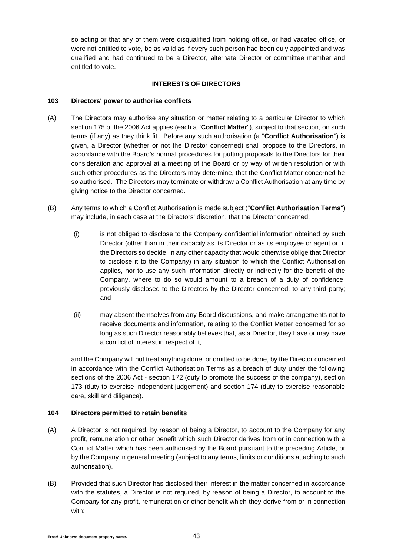so acting or that any of them were disqualified from holding office, or had vacated office, or were not entitled to vote, be as valid as if every such person had been duly appointed and was qualified and had continued to be a Director, alternate Director or committee member and entitled to vote.

## **INTERESTS OF DIRECTORS**

## **103 Directors' power to authorise conflicts**

- (A) The Directors may authorise any situation or matter relating to a particular Director to which section 175 of the 2006 Act applies (each a "**Conflict Matter**"), subject to that section, on such terms (if any) as they think fit. Before any such authorisation (a "**Conflict Authorisation**") is given, a Director (whether or not the Director concerned) shall propose to the Directors, in accordance with the Board's normal procedures for putting proposals to the Directors for their consideration and approval at a meeting of the Board or by way of written resolution or with such other procedures as the Directors may determine, that the Conflict Matter concerned be so authorised. The Directors may terminate or withdraw a Conflict Authorisation at any time by giving notice to the Director concerned.
- (B) Any terms to which a Conflict Authorisation is made subject ("**Conflict Authorisation Terms**") may include, in each case at the Directors' discretion, that the Director concerned:
	- (i) is not obliged to disclose to the Company confidential information obtained by such Director (other than in their capacity as its Director or as its employee or agent or, if the Directors so decide, in any other capacity that would otherwise oblige that Director to disclose it to the Company) in any situation to which the Conflict Authorisation applies, nor to use any such information directly or indirectly for the benefit of the Company, where to do so would amount to a breach of a duty of confidence, previously disclosed to the Directors by the Director concerned, to any third party; and
	- (ii) may absent themselves from any Board discussions, and make arrangements not to receive documents and information, relating to the Conflict Matter concerned for so long as such Director reasonably believes that, as a Director, they have or may have a conflict of interest in respect of it,

and the Company will not treat anything done, or omitted to be done, by the Director concerned in accordance with the Conflict Authorisation Terms as a breach of duty under the following sections of the 2006 Act - section 172 (duty to promote the success of the company), section 173 (duty to exercise independent judgement) and section 174 (duty to exercise reasonable care, skill and diligence).

# **104 Directors permitted to retain benefits**

- <span id="page-42-0"></span>(A) A Director is not required, by reason of being a Director, to account to the Company for any profit, remuneration or other benefit which such Director derives from or in connection with a Conflict Matter which has been authorised by the Board pursuant to the preceding Article, or by the Company in general meeting (subject to any terms, limits or conditions attaching to such authorisation).
- <span id="page-42-1"></span>(B) Provided that such Director has disclosed their interest in the matter concerned in accordance with the statutes, a Director is not required, by reason of being a Director, to account to the Company for any profit, remuneration or other benefit which they derive from or in connection with: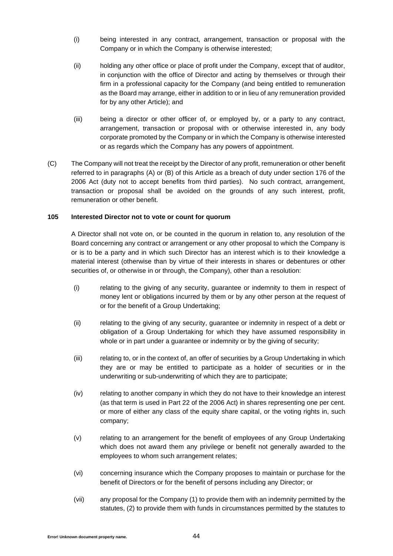- (i) being interested in any contract, arrangement, transaction or proposal with the Company or in which the Company is otherwise interested;
- (ii) holding any other office or place of profit under the Company, except that of auditor, in conjunction with the office of Director and acting by themselves or through their firm in a professional capacity for the Company (and being entitled to remuneration as the Board may arrange, either in addition to or in lieu of any remuneration provided for by any other Article); and
- (iii) being a director or other officer of, or employed by, or a party to any contract, arrangement, transaction or proposal with or otherwise interested in, any body corporate promoted by the Company or in which the Company is otherwise interested or as regards which the Company has any powers of appointment.
- (C) The Company will not treat the receipt by the Director of any profit, remuneration or other benefit referred to in paragraphs [\(A\)](#page-42-0) or [\(B\)](#page-42-1) of this Article as a breach of duty under section 176 of the 2006 Act (duty not to accept benefits from third parties). No such contract, arrangement, transaction or proposal shall be avoided on the grounds of any such interest, profit, remuneration or other benefit.

### **105 Interested Director not to vote or count for quorum**

A Director shall not vote on, or be counted in the quorum in relation to, any resolution of the Board concerning any contract or arrangement or any other proposal to which the Company is or is to be a party and in which such Director has an interest which is to their knowledge a material interest (otherwise than by virtue of their interests in shares or debentures or other securities of, or otherwise in or through, the Company), other than a resolution:

- (i) relating to the giving of any security, guarantee or indemnity to them in respect of money lent or obligations incurred by them or by any other person at the request of or for the benefit of a Group Undertaking;
- (ii) relating to the giving of any security, guarantee or indemnity in respect of a debt or obligation of a Group Undertaking for which they have assumed responsibility in whole or in part under a guarantee or indemnity or by the giving of security;
- (iii) relating to, or in the context of, an offer of securities by a Group Undertaking in which they are or may be entitled to participate as a holder of securities or in the underwriting or sub-underwriting of which they are to participate;
- (iv) relating to another company in which they do not have to their knowledge an interest (as that term is used in Part 22 of the 2006 Act) in shares representing one per cent. or more of either any class of the equity share capital, or the voting rights in, such company;
- (v) relating to an arrangement for the benefit of employees of any Group Undertaking which does not award them any privilege or benefit not generally awarded to the employees to whom such arrangement relates;
- (vi) concerning insurance which the Company proposes to maintain or purchase for the benefit of Directors or for the benefit of persons including any Director; or
- (vii) any proposal for the Company (1) to provide them with an indemnity permitted by the statutes, (2) to provide them with funds in circumstances permitted by the statutes to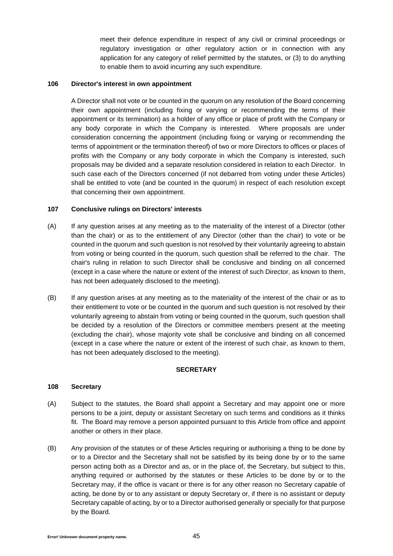meet their defence expenditure in respect of any civil or criminal proceedings or regulatory investigation or other regulatory action or in connection with any application for any category of relief permitted by the statutes, or (3) to do anything to enable them to avoid incurring any such expenditure.

### **106 Director's interest in own appointment**

A Director shall not vote or be counted in the quorum on any resolution of the Board concerning their own appointment (including fixing or varying or recommending the terms of their appointment or its termination) as a holder of any office or place of profit with the Company or any body corporate in which the Company is interested. Where proposals are under consideration concerning the appointment (including fixing or varying or recommending the terms of appointment or the termination thereof) of two or more Directors to offices or places of profits with the Company or any body corporate in which the Company is interested, such proposals may be divided and a separate resolution considered in relation to each Director. In such case each of the Directors concerned (if not debarred from voting under these Articles) shall be entitled to vote (and be counted in the quorum) in respect of each resolution except that concerning their own appointment.

### **107 Conclusive rulings on Directors' interests**

- (A) If any question arises at any meeting as to the materiality of the interest of a Director (other than the chair) or as to the entitlement of any Director (other than the chair) to vote or be counted in the quorum and such question is not resolved by their voluntarily agreeing to abstain from voting or being counted in the quorum, such question shall be referred to the chair. The chair's ruling in relation to such Director shall be conclusive and binding on all concerned (except in a case where the nature or extent of the interest of such Director, as known to them, has not been adequately disclosed to the meeting).
- (B) If any question arises at any meeting as to the materiality of the interest of the chair or as to their entitlement to vote or be counted in the quorum and such question is not resolved by their voluntarily agreeing to abstain from voting or being counted in the quorum, such question shall be decided by a resolution of the Directors or committee members present at the meeting (excluding the chair), whose majority vote shall be conclusive and binding on all concerned (except in a case where the nature or extent of the interest of such chair, as known to them, has not been adequately disclosed to the meeting).

# **SECRETARY**

# **108 Secretary**

- (A) Subject to the statutes, the Board shall appoint a Secretary and may appoint one or more persons to be a joint, deputy or assistant Secretary on such terms and conditions as it thinks fit. The Board may remove a person appointed pursuant to this Article from office and appoint another or others in their place.
- (B) Any provision of the statutes or of these Articles requiring or authorising a thing to be done by or to a Director and the Secretary shall not be satisfied by its being done by or to the same person acting both as a Director and as, or in the place of, the Secretary, but subject to this, anything required or authorised by the statutes or these Articles to be done by or to the Secretary may, if the office is vacant or there is for any other reason no Secretary capable of acting, be done by or to any assistant or deputy Secretary or, if there is no assistant or deputy Secretary capable of acting, by or to a Director authorised generally or specially for that purpose by the Board.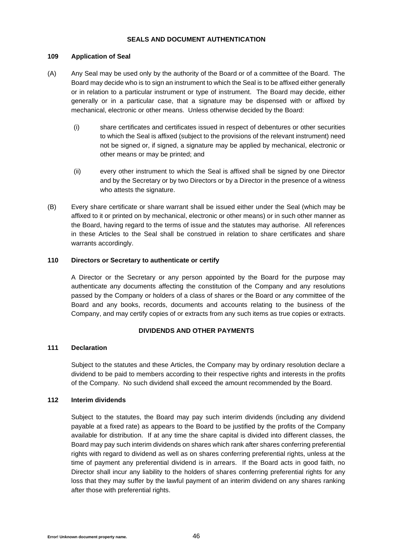## **SEALS AND DOCUMENT AUTHENTICATION**

### **109 Application of Seal**

- (A) Any Seal may be used only by the authority of the Board or of a committee of the Board. The Board may decide who is to sign an instrument to which the Seal is to be affixed either generally or in relation to a particular instrument or type of instrument. The Board may decide, either generally or in a particular case, that a signature may be dispensed with or affixed by mechanical, electronic or other means. Unless otherwise decided by the Board:
	- (i) share certificates and certificates issued in respect of debentures or other securities to which the Seal is affixed (subject to the provisions of the relevant instrument) need not be signed or, if signed, a signature may be applied by mechanical, electronic or other means or may be printed; and
	- (ii) every other instrument to which the Seal is affixed shall be signed by one Director and by the Secretary or by two Directors or by a Director in the presence of a witness who attests the signature.
- (B) Every share certificate or share warrant shall be issued either under the Seal (which may be affixed to it or printed on by mechanical, electronic or other means) or in such other manner as the Board, having regard to the terms of issue and the statutes may authorise. All references in these Articles to the Seal shall be construed in relation to share certificates and share warrants accordingly.

## **110 Directors or Secretary to authenticate or certify**

A Director or the Secretary or any person appointed by the Board for the purpose may authenticate any documents affecting the constitution of the Company and any resolutions passed by the Company or holders of a class of shares or the Board or any committee of the Board and any books, records, documents and accounts relating to the business of the Company, and may certify copies of or extracts from any such items as true copies or extracts.

# **DIVIDENDS AND OTHER PAYMENTS**

### **111 Declaration**

Subject to the statutes and these Articles, the Company may by ordinary resolution declare a dividend to be paid to members according to their respective rights and interests in the profits of the Company. No such dividend shall exceed the amount recommended by the Board.

### **112 Interim dividends**

Subject to the statutes, the Board may pay such interim dividends (including any dividend payable at a fixed rate) as appears to the Board to be justified by the profits of the Company available for distribution. If at any time the share capital is divided into different classes, the Board may pay such interim dividends on shares which rank after shares conferring preferential rights with regard to dividend as well as on shares conferring preferential rights, unless at the time of payment any preferential dividend is in arrears. If the Board acts in good faith, no Director shall incur any liability to the holders of shares conferring preferential rights for any loss that they may suffer by the lawful payment of an interim dividend on any shares ranking after those with preferential rights.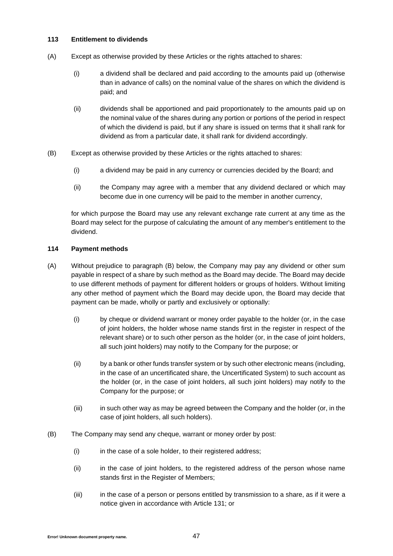## **113 Entitlement to dividends**

- (A) Except as otherwise provided by these Articles or the rights attached to shares:
	- (i) a dividend shall be declared and paid according to the amounts paid up (otherwise than in advance of calls) on the nominal value of the shares on which the dividend is paid; and
	- (ii) dividends shall be apportioned and paid proportionately to the amounts paid up on the nominal value of the shares during any portion or portions of the period in respect of which the dividend is paid, but if any share is issued on terms that it shall rank for dividend as from a particular date, it shall rank for dividend accordingly.
- (B) Except as otherwise provided by these Articles or the rights attached to shares:
	- (i) a dividend may be paid in any currency or currencies decided by the Board; and
	- (ii) the Company may agree with a member that any dividend declared or which may become due in one currency will be paid to the member in another currency,

for which purpose the Board may use any relevant exchange rate current at any time as the Board may select for the purpose of calculating the amount of any member's entitlement to the dividend.

# **114 Payment methods**

- (A) Without prejudice to paragraph [\(B\)](#page-46-0) below, the Company may pay any dividend or other sum payable in respect of a share by such method as the Board may decide. The Board may decide to use different methods of payment for different holders or groups of holders. Without limiting any other method of payment which the Board may decide upon, the Board may decide that payment can be made, wholly or partly and exclusively or optionally:
	- (i) by cheque or dividend warrant or money order payable to the holder (or, in the case of joint holders, the holder whose name stands first in the register in respect of the relevant share) or to such other person as the holder (or, in the case of joint holders, all such joint holders) may notify to the Company for the purpose; or
	- (ii) by a bank or other funds transfer system or by such other electronic means (including, in the case of an uncertificated share, the Uncertificated System) to such account as the holder (or, in the case of joint holders, all such joint holders) may notify to the Company for the purpose; or
	- (iii) in such other way as may be agreed between the Company and the holder (or, in the case of joint holders, all such holders).
- <span id="page-46-0"></span>(B) The Company may send any cheque, warrant or money order by post:
	- (i) in the case of a sole holder, to their registered address;
	- (ii) in the case of joint holders, to the registered address of the person whose name stands first in the Register of Members;
	- (iii) in the case of a person or persons entitled by transmission to a share, as if it were a notice given in accordance with Article [131;](#page-55-0) or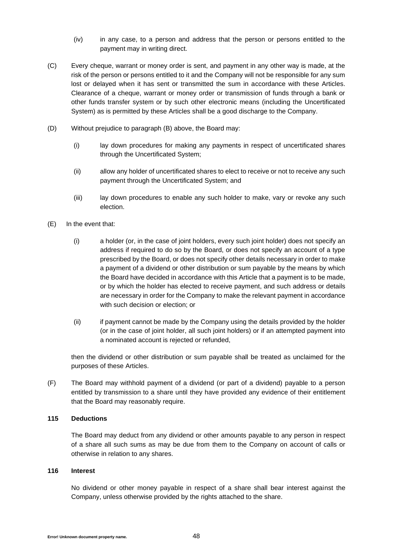- (iv) in any case, to a person and address that the person or persons entitled to the payment may in writing direct.
- (C) Every cheque, warrant or money order is sent, and payment in any other way is made, at the risk of the person or persons entitled to it and the Company will not be responsible for any sum lost or delayed when it has sent or transmitted the sum in accordance with these Articles. Clearance of a cheque, warrant or money order or transmission of funds through a bank or other funds transfer system or by such other electronic means (including the Uncertificated System) as is permitted by these Articles shall be a good discharge to the Company.
- (D) Without prejudice to paragraph [\(B\)](#page-46-0) above, the Board may:
	- (i) lay down procedures for making any payments in respect of uncertificated shares through the Uncertificated System;
	- (ii) allow any holder of uncertificated shares to elect to receive or not to receive any such payment through the Uncertificated System; and
	- (iii) lay down procedures to enable any such holder to make, vary or revoke any such election.
- (E) In the event that:
	- (i) a holder (or, in the case of joint holders, every such joint holder) does not specify an address if required to do so by the Board, or does not specify an account of a type prescribed by the Board, or does not specify other details necessary in order to make a payment of a dividend or other distribution or sum payable by the means by which the Board have decided in accordance with this Article that a payment is to be made, or by which the holder has elected to receive payment, and such address or details are necessary in order for the Company to make the relevant payment in accordance with such decision or election; or
	- (ii) if payment cannot be made by the Company using the details provided by the holder (or in the case of joint holder, all such joint holders) or if an attempted payment into a nominated account is rejected or refunded,

then the dividend or other distribution or sum payable shall be treated as unclaimed for the purposes of these Articles.

(F) The Board may withhold payment of a dividend (or part of a dividend) payable to a person entitled by transmission to a share until they have provided any evidence of their entitlement that the Board may reasonably require.

### **115 Deductions**

The Board may deduct from any dividend or other amounts payable to any person in respect of a share all such sums as may be due from them to the Company on account of calls or otherwise in relation to any shares.

### **116 Interest**

No dividend or other money payable in respect of a share shall bear interest against the Company, unless otherwise provided by the rights attached to the share.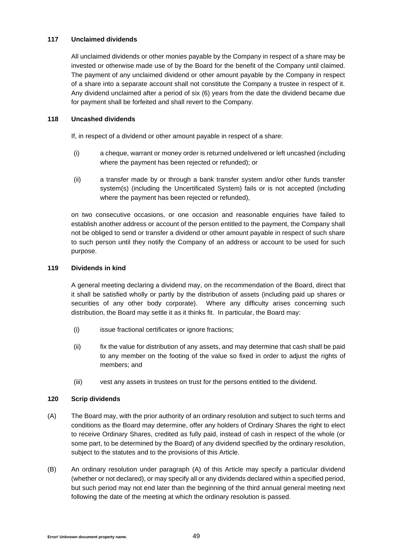## **117 Unclaimed dividends**

All unclaimed dividends or other monies payable by the Company in respect of a share may be invested or otherwise made use of by the Board for the benefit of the Company until claimed. The payment of any unclaimed dividend or other amount payable by the Company in respect of a share into a separate account shall not constitute the Company a trustee in respect of it. Any dividend unclaimed after a period of six (6) years from the date the dividend became due for payment shall be forfeited and shall revert to the Company.

## **118 Uncashed dividends**

If, in respect of a dividend or other amount payable in respect of a share:

- (i) a cheque, warrant or money order is returned undelivered or left uncashed (including where the payment has been rejected or refunded); or
- (ii) a transfer made by or through a bank transfer system and/or other funds transfer system(s) (including the Uncertificated System) fails or is not accepted (including where the payment has been rejected or refunded),

on two consecutive occasions, or one occasion and reasonable enquiries have failed to establish another address or account of the person entitled to the payment, the Company shall not be obliged to send or transfer a dividend or other amount payable in respect of such share to such person until they notify the Company of an address or account to be used for such purpose.

## **119 Dividends in kind**

A general meeting declaring a dividend may, on the recommendation of the Board, direct that it shall be satisfied wholly or partly by the distribution of assets (including paid up shares or securities of any other body corporate). Where any difficulty arises concerning such distribution, the Board may settle it as it thinks fit. In particular, the Board may:

- (i) issue fractional certificates or ignore fractions:
- (ii) fix the value for distribution of any assets, and may determine that cash shall be paid to any member on the footing of the value so fixed in order to adjust the rights of members; and
- (iii) vest any assets in trustees on trust for the persons entitled to the dividend.

# **120 Scrip dividends**

- <span id="page-48-0"></span>(A) The Board may, with the prior authority of an ordinary resolution and subject to such terms and conditions as the Board may determine, offer any holders of Ordinary Shares the right to elect to receive Ordinary Shares, credited as fully paid, instead of cash in respect of the whole (or some part, to be determined by the Board) of any dividend specified by the ordinary resolution, subject to the statutes and to the provisions of this Article.
- (B) An ordinary resolution under paragraph [\(A\)](#page-48-0) of this Article may specify a particular dividend (whether or not declared), or may specify all or any dividends declared within a specified period, but such period may not end later than the beginning of the third annual general meeting next following the date of the meeting at which the ordinary resolution is passed.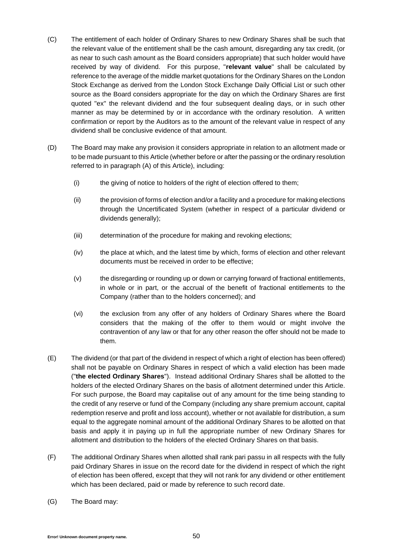- (C) The entitlement of each holder of Ordinary Shares to new Ordinary Shares shall be such that the relevant value of the entitlement shall be the cash amount, disregarding any tax credit, (or as near to such cash amount as the Board considers appropriate) that such holder would have received by way of dividend. For this purpose, "**relevant value**" shall be calculated by reference to the average of the middle market quotations for the Ordinary Shares on the London Stock Exchange as derived from the London Stock Exchange Daily Official List or such other source as the Board considers appropriate for the day on which the Ordinary Shares are first quoted "ex" the relevant dividend and the four subsequent dealing days, or in such other manner as may be determined by or in accordance with the ordinary resolution. A written confirmation or report by the Auditors as to the amount of the relevant value in respect of any dividend shall be conclusive evidence of that amount.
- (D) The Board may make any provision it considers appropriate in relation to an allotment made or to be made pursuant to this Article (whether before or after the passing or the ordinary resolution referred to in paragraph [\(A\)](#page-48-0) of this Article), including:
	- (i) the giving of notice to holders of the right of election offered to them;
	- (ii) the provision of forms of election and/or a facility and a procedure for making elections through the Uncertificated System (whether in respect of a particular dividend or dividends generally);
	- (iii) determination of the procedure for making and revoking elections;
	- (iv) the place at which, and the latest time by which, forms of election and other relevant documents must be received in order to be effective;
	- (v) the disregarding or rounding up or down or carrying forward of fractional entitlements, in whole or in part, or the accrual of the benefit of fractional entitlements to the Company (rather than to the holders concerned); and
	- (vi) the exclusion from any offer of any holders of Ordinary Shares where the Board considers that the making of the offer to them would or might involve the contravention of any law or that for any other reason the offer should not be made to them.
- (E) The dividend (or that part of the dividend in respect of which a right of election has been offered) shall not be payable on Ordinary Shares in respect of which a valid election has been made ("**the elected Ordinary Shares**"). Instead additional Ordinary Shares shall be allotted to the holders of the elected Ordinary Shares on the basis of allotment determined under this Article. For such purpose, the Board may capitalise out of any amount for the time being standing to the credit of any reserve or fund of the Company (including any share premium account, capital redemption reserve and profit and loss account), whether or not available for distribution, a sum equal to the aggregate nominal amount of the additional Ordinary Shares to be allotted on that basis and apply it in paying up in full the appropriate number of new Ordinary Shares for allotment and distribution to the holders of the elected Ordinary Shares on that basis.
- (F) The additional Ordinary Shares when allotted shall rank pari passu in all respects with the fully paid Ordinary Shares in issue on the record date for the dividend in respect of which the right of election has been offered, except that they will not rank for any dividend or other entitlement which has been declared, paid or made by reference to such record date.
- (G) The Board may: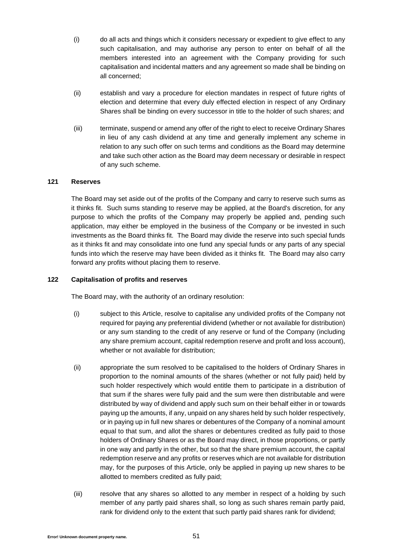- (i) do all acts and things which it considers necessary or expedient to give effect to any such capitalisation, and may authorise any person to enter on behalf of all the members interested into an agreement with the Company providing for such capitalisation and incidental matters and any agreement so made shall be binding on all concerned;
- (ii) establish and vary a procedure for election mandates in respect of future rights of election and determine that every duly effected election in respect of any Ordinary Shares shall be binding on every successor in title to the holder of such shares; and
- (iii) terminate, suspend or amend any offer of the right to elect to receive Ordinary Shares in lieu of any cash dividend at any time and generally implement any scheme in relation to any such offer on such terms and conditions as the Board may determine and take such other action as the Board may deem necessary or desirable in respect of any such scheme.

### **121 Reserves**

The Board may set aside out of the profits of the Company and carry to reserve such sums as it thinks fit. Such sums standing to reserve may be applied, at the Board's discretion, for any purpose to which the profits of the Company may properly be applied and, pending such application, may either be employed in the business of the Company or be invested in such investments as the Board thinks fit. The Board may divide the reserve into such special funds as it thinks fit and may consolidate into one fund any special funds or any parts of any special funds into which the reserve may have been divided as it thinks fit. The Board may also carry forward any profits without placing them to reserve.

## **122 Capitalisation of profits and reserves**

The Board may, with the authority of an ordinary resolution:

- (i) subject to this Article, resolve to capitalise any undivided profits of the Company not required for paying any preferential dividend (whether or not available for distribution) or any sum standing to the credit of any reserve or fund of the Company (including any share premium account, capital redemption reserve and profit and loss account), whether or not available for distribution;
- (ii) appropriate the sum resolved to be capitalised to the holders of Ordinary Shares in proportion to the nominal amounts of the shares (whether or not fully paid) held by such holder respectively which would entitle them to participate in a distribution of that sum if the shares were fully paid and the sum were then distributable and were distributed by way of dividend and apply such sum on their behalf either in or towards paying up the amounts, if any, unpaid on any shares held by such holder respectively, or in paying up in full new shares or debentures of the Company of a nominal amount equal to that sum, and allot the shares or debentures credited as fully paid to those holders of Ordinary Shares or as the Board may direct, in those proportions, or partly in one way and partly in the other, but so that the share premium account, the capital redemption reserve and any profits or reserves which are not available for distribution may, for the purposes of this Article, only be applied in paying up new shares to be allotted to members credited as fully paid;
- (iii) resolve that any shares so allotted to any member in respect of a holding by such member of any partly paid shares shall, so long as such shares remain partly paid, rank for dividend only to the extent that such partly paid shares rank for dividend;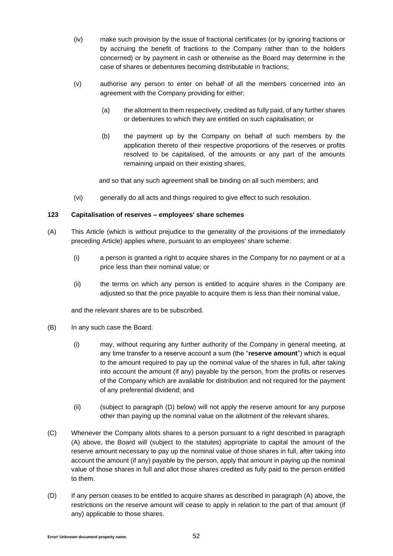- (iv) make such provision by the issue of fractional certificates (or by ignoring fractions or by accruing the benefit of fractions to the Company rather than to the holders concerned) or by payment in cash or otherwise as the Board may determine in the case of shares or debentures becoming distributable in fractions;
- (v) authorise any person to enter on behalf of all the members concerned into an agreement with the Company providing for either:
	- (a) the allotment to them respectively, credited as fully paid, of any further shares or debentures to which they are entitled on such capitalisation; or
	- (b) the payment up by the Company on behalf of such members by the application thereto of their respective proportions of the reserves or profits resolved to be capitalised, of the amounts or any part of the amounts remaining unpaid on their existing shares,

and so that any such agreement shall be binding on all such members; and

(vi) generally do all acts and things required to give effect to such resolution.

# **123 Capitalisation of reserves – employees' share schemes**

- <span id="page-51-1"></span>(A) This Article (which is without prejudice to the generality of the provisions of the immediately preceding Article) applies where, pursuant to an employees' share scheme:
	- (i) a person is granted a right to acquire shares in the Company for no payment or at a price less than their nominal value; or
	- (ii) the terms on which any person is entitled to acquire shares in the Company are adjusted so that the price payable to acquire them is less than their nominal value,

and the relevant shares are to be subscribed.

- (B) In any such case the Board:
	- (i) may, without requiring any further authority of the Company in general meeting, at any time transfer to a reserve account a sum (the "**reserve amount**") which is equal to the amount required to pay up the nominal value of the shares in full, after taking into account the amount (if any) payable by the person, from the profits or reserves of the Company which are available for distribution and not required for the payment of any preferential dividend; and
	- (ii) (subject to paragraph [\(D\)](#page-51-0) below) will not apply the reserve amount for any purpose other than paying up the nominal value on the allotment of the relevant shares.
- (C) Whenever the Company allots shares to a person pursuant to a right described in paragraph [\(A\)](#page-51-1) above, the Board will (subject to the statutes) appropriate to capital the amount of the reserve amount necessary to pay up the nominal value of those shares in full, after taking into account the amount (if any) payable by the person, apply that amount in paying up the nominal value of those shares in full and allot those shares credited as fully paid to the person entitled to them.
- <span id="page-51-0"></span>(D) If any person ceases to be entitled to acquire shares as described in paragraph [\(A\)](#page-51-1) above, the restrictions on the reserve amount will cease to apply in relation to the part of that amount (if any) applicable to those shares.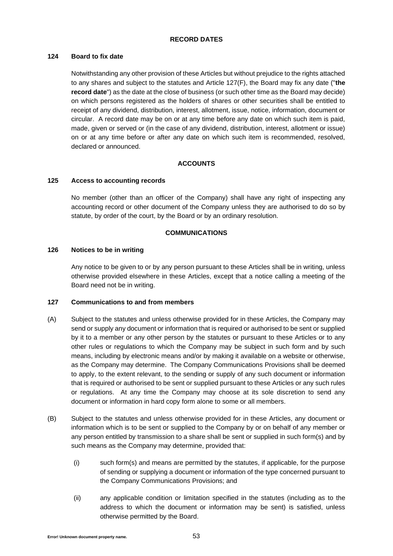# **RECORD DATES**

## **124 Board to fix date**

Notwithstanding any other provision of these Articles but without prejudice to the rights attached to any shares and subject to the statutes and Article [127\(F\),](#page-53-0) the Board may fix any date ("**the record date**") as the date at the close of business (or such other time as the Board may decide) on which persons registered as the holders of shares or other securities shall be entitled to receipt of any dividend, distribution, interest, allotment, issue, notice, information, document or circular. A record date may be on or at any time before any date on which such item is paid, made, given or served or (in the case of any dividend, distribution, interest, allotment or issue) on or at any time before or after any date on which such item is recommended, resolved, declared or announced.

# **ACCOUNTS**

## **125 Access to accounting records**

No member (other than an officer of the Company) shall have any right of inspecting any accounting record or other document of the Company unless they are authorised to do so by statute, by order of the court, by the Board or by an ordinary resolution.

### **COMMUNICATIONS**

### **126 Notices to be in writing**

Any notice to be given to or by any person pursuant to these Articles shall be in writing, unless otherwise provided elsewhere in these Articles, except that a notice calling a meeting of the Board need not be in writing.

### **127 Communications to and from members**

- (A) Subject to the statutes and unless otherwise provided for in these Articles, the Company may send or supply any document or information that is required or authorised to be sent or supplied by it to a member or any other person by the statutes or pursuant to these Articles or to any other rules or regulations to which the Company may be subject in such form and by such means, including by electronic means and/or by making it available on a website or otherwise, as the Company may determine. The Company Communications Provisions shall be deemed to apply, to the extent relevant, to the sending or supply of any such document or information that is required or authorised to be sent or supplied pursuant to these Articles or any such rules or regulations. At any time the Company may choose at its sole discretion to send any document or information in hard copy form alone to some or all members.
- (B) Subject to the statutes and unless otherwise provided for in these Articles, any document or information which is to be sent or supplied to the Company by or on behalf of any member or any person entitled by transmission to a share shall be sent or supplied in such form(s) and by such means as the Company may determine, provided that:
	- (i) such form(s) and means are permitted by the statutes, if applicable, for the purpose of sending or supplying a document or information of the type concerned pursuant to the Company Communications Provisions; and
	- (ii) any applicable condition or limitation specified in the statutes (including as to the address to which the document or information may be sent) is satisfied, unless otherwise permitted by the Board.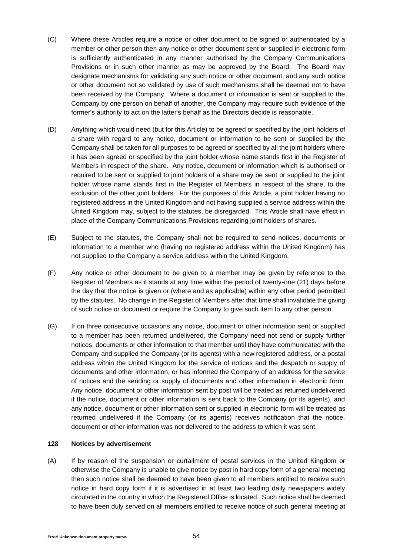- (C) Where these Articles require a notice or other document to be signed or authenticated by a member or other person then any notice or other document sent or supplied in electronic form is sufficiently authenticated in any manner authorised by the Company Communications Provisions or in such other manner as may be approved by the Board. The Board may designate mechanisms for validating any such notice or other document, and any such notice or other document not so validated by use of such mechanisms shall be deemed not to have been received by the Company. Where a document or information is sent or supplied to the Company by one person on behalf of another, the Company may require such evidence of the former's authority to act on the latter's behalf as the Directors decide is reasonable.
- (D) Anything which would need (but for this Article) to be agreed or specified by the joint holders of a share with regard to any notice, document or information to be sent or supplied by the Company shall be taken for all purposes to be agreed or specified by all the joint holders where it has been agreed or specified by the joint holder whose name stands first in the Register of Members in respect of the share. Any notice, document or information which is authorised or required to be sent or supplied to joint holders of a share may be sent or supplied to the joint holder whose name stands first in the Register of Members in respect of the share, to the exclusion of the other joint holders. For the purposes of this Article, a joint holder having no registered address in the United Kingdom and not having supplied a service address within the United Kingdom may, subject to the statutes, be disregarded. This Article shall have effect in place of the Company Communications Provisions regarding joint holders of shares.
- (E) Subject to the statutes, the Company shall not be required to send notices, documents or information to a member who (having no registered address within the United Kingdom) has not supplied to the Company a service address within the United Kingdom.
- <span id="page-53-0"></span>(F) Any notice or other document to be given to a member may be given by reference to the Register of Members as it stands at any time within the period of twenty-one (21) days before the day that the notice is given or (where and as applicable) within any other period permitted by the statutes. No change in the Register of Members after that time shall invalidate the giving of such notice or document or require the Company to give such item to any other person.
- (G) If on three consecutive occasions any notice, document or other information sent or supplied to a member has been returned undelivered, the Company need not send or supply further notices, documents or other information to that member until they have communicated with the Company and supplied the Company (or its agents) with a new registered address, or a postal address within the United Kingdom for the service of notices and the despatch or supply of documents and other information, or has informed the Company of an address for the service of notices and the sending or supply of documents and other information in electronic form. Any notice, document or other information sent by post will be treated as returned undelivered if the notice, document or other information is sent back to the Company (or its agents), and any notice, document or other information sent or supplied in electronic form will be treated as returned undelivered if the Company (or its agents) receives notification that the notice, document or other information was not delivered to the address to which it was sent.

# **128 Notices by advertisement**

(A) If by reason of the suspension or curtailment of postal services in the United Kingdom or otherwise the Company is unable to give notice by post in hard copy form of a general meeting then such notice shall be deemed to have been given to all members entitled to receive such notice in hard copy form if it is advertised in at least two leading daily newspapers widely circulated in the country in which the Registered Office is located. Such notice shall be deemed to have been duly served on all members entitled to receive notice of such general meeting at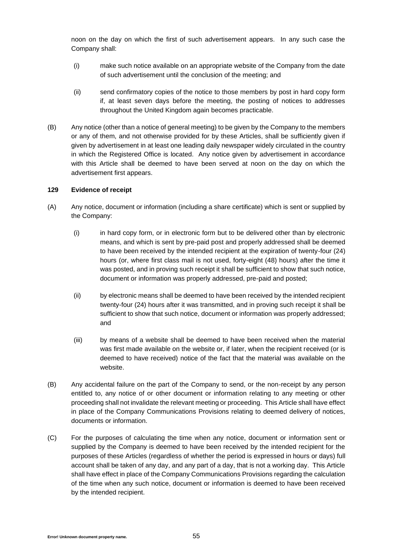noon on the day on which the first of such advertisement appears. In any such case the Company shall:

- (i) make such notice available on an appropriate website of the Company from the date of such advertisement until the conclusion of the meeting; and
- (ii) send confirmatory copies of the notice to those members by post in hard copy form if, at least seven days before the meeting, the posting of notices to addresses throughout the United Kingdom again becomes practicable.
- (B) Any notice (other than a notice of general meeting) to be given by the Company to the members or any of them, and not otherwise provided for by these Articles, shall be sufficiently given if given by advertisement in at least one leading daily newspaper widely circulated in the country in which the Registered Office is located. Any notice given by advertisement in accordance with this Article shall be deemed to have been served at noon on the day on which the advertisement first appears.

### **129 Evidence of receipt**

- (A) Any notice, document or information (including a share certificate) which is sent or supplied by the Company:
	- (i) in hard copy form, or in electronic form but to be delivered other than by electronic means, and which is sent by pre-paid post and properly addressed shall be deemed to have been received by the intended recipient at the expiration of twenty-four (24) hours (or, where first class mail is not used, forty-eight (48) hours) after the time it was posted, and in proving such receipt it shall be sufficient to show that such notice, document or information was properly addressed, pre-paid and posted;
	- (ii) by electronic means shall be deemed to have been received by the intended recipient twenty-four (24) hours after it was transmitted, and in proving such receipt it shall be sufficient to show that such notice, document or information was properly addressed; and
	- (iii) by means of a website shall be deemed to have been received when the material was first made available on the website or, if later, when the recipient received (or is deemed to have received) notice of the fact that the material was available on the website.
- (B) Any accidental failure on the part of the Company to send, or the non-receipt by any person entitled to, any notice of or other document or information relating to any meeting or other proceeding shall not invalidate the relevant meeting or proceeding. This Article shall have effect in place of the Company Communications Provisions relating to deemed delivery of notices, documents or information.
- (C) For the purposes of calculating the time when any notice, document or information sent or supplied by the Company is deemed to have been received by the intended recipient for the purposes of these Articles (regardless of whether the period is expressed in hours or days) full account shall be taken of any day, and any part of a day, that is not a working day. This Article shall have effect in place of the Company Communications Provisions regarding the calculation of the time when any such notice, document or information is deemed to have been received by the intended recipient.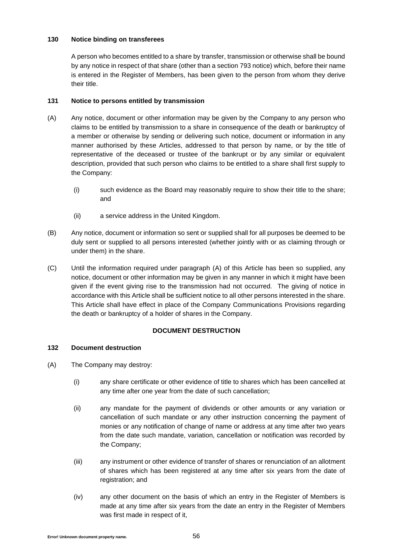# **130 Notice binding on transferees**

A person who becomes entitled to a share by transfer, transmission or otherwise shall be bound by any notice in respect of that share (other than a section 793 notice) which, before their name is entered in the Register of Members, has been given to the person from whom they derive their title.

# <span id="page-55-0"></span>**131 Notice to persons entitled by transmission**

- <span id="page-55-1"></span>(A) Any notice, document or other information may be given by the Company to any person who claims to be entitled by transmission to a share in consequence of the death or bankruptcy of a member or otherwise by sending or delivering such notice, document or information in any manner authorised by these Articles, addressed to that person by name, or by the title of representative of the deceased or trustee of the bankrupt or by any similar or equivalent description, provided that such person who claims to be entitled to a share shall first supply to the Company:
	- (i) such evidence as the Board may reasonably require to show their title to the share; and
	- (ii) a service address in the United Kingdom.
- (B) Any notice, document or information so sent or supplied shall for all purposes be deemed to be duly sent or supplied to all persons interested (whether jointly with or as claiming through or under them) in the share.
- (C) Until the information required under paragraph [\(A\)](#page-55-1) of this Article has been so supplied, any notice, document or other information may be given in any manner in which it might have been given if the event giving rise to the transmission had not occurred. The giving of notice in accordance with this Article shall be sufficient notice to all other persons interested in the share. This Article shall have effect in place of the Company Communications Provisions regarding the death or bankruptcy of a holder of shares in the Company.

# **DOCUMENT DESTRUCTION**

# **132 Document destruction**

- (A) The Company may destroy:
	- (i) any share certificate or other evidence of title to shares which has been cancelled at any time after one year from the date of such cancellation;
	- (ii) any mandate for the payment of dividends or other amounts or any variation or cancellation of such mandate or any other instruction concerning the payment of monies or any notification of change of name or address at any time after two years from the date such mandate, variation, cancellation or notification was recorded by the Company;
	- (iii) any instrument or other evidence of transfer of shares or renunciation of an allotment of shares which has been registered at any time after six years from the date of registration; and
	- (iv) any other document on the basis of which an entry in the Register of Members is made at any time after six years from the date an entry in the Register of Members was first made in respect of it,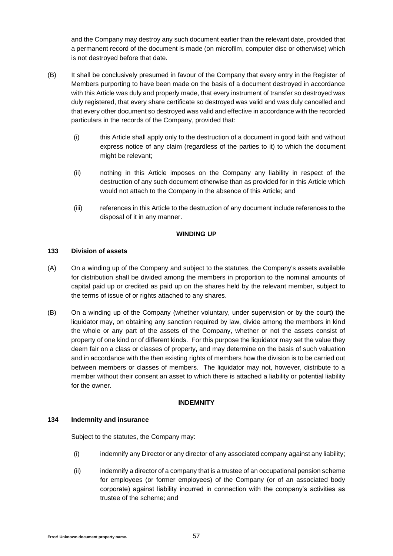and the Company may destroy any such document earlier than the relevant date, provided that a permanent record of the document is made (on microfilm, computer disc or otherwise) which is not destroyed before that date.

- (B) It shall be conclusively presumed in favour of the Company that every entry in the Register of Members purporting to have been made on the basis of a document destroyed in accordance with this Article was duly and properly made, that every instrument of transfer so destroyed was duly registered, that every share certificate so destroyed was valid and was duly cancelled and that every other document so destroyed was valid and effective in accordance with the recorded particulars in the records of the Company, provided that:
	- (i) this Article shall apply only to the destruction of a document in good faith and without express notice of any claim (regardless of the parties to it) to which the document might be relevant;
	- (ii) nothing in this Article imposes on the Company any liability in respect of the destruction of any such document otherwise than as provided for in this Article which would not attach to the Company in the absence of this Article; and
	- (iii) references in this Article to the destruction of any document include references to the disposal of it in any manner.

### **WINDING UP**

# **133 Division of assets**

- (A) On a winding up of the Company and subject to the statutes, the Company's assets available for distribution shall be divided among the members in proportion to the nominal amounts of capital paid up or credited as paid up on the shares held by the relevant member, subject to the terms of issue of or rights attached to any shares.
- (B) On a winding up of the Company (whether voluntary, under supervision or by the court) the liquidator may, on obtaining any sanction required by law, divide among the members in kind the whole or any part of the assets of the Company, whether or not the assets consist of property of one kind or of different kinds. For this purpose the liquidator may set the value they deem fair on a class or classes of property, and may determine on the basis of such valuation and in accordance with the then existing rights of members how the division is to be carried out between members or classes of members. The liquidator may not, however, distribute to a member without their consent an asset to which there is attached a liability or potential liability for the owner.

### **INDEMNITY**

### **134 Indemnity and insurance**

Subject to the statutes, the Company may:

- <span id="page-56-0"></span>(i) indemnify any Director or any director of any associated company against any liability;
- <span id="page-56-1"></span>(ii) indemnify a director of a company that is a trustee of an occupational pension scheme for employees (or former employees) of the Company (or of an associated body corporate) against liability incurred in connection with the company's activities as trustee of the scheme; and